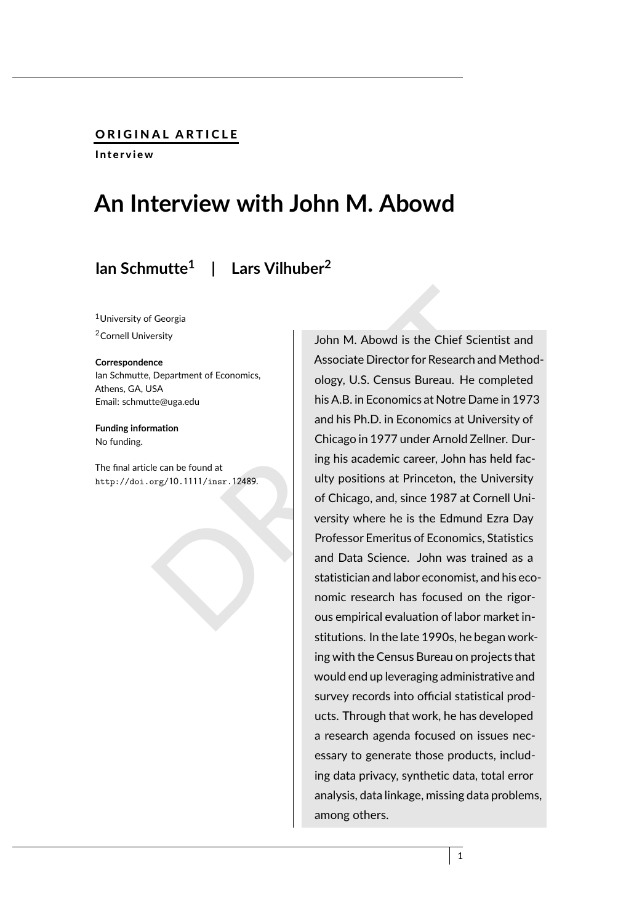#### ORIGINAL ARTICLE

Interview

# **An Interview with John M. Abowd**

## **Ian Schmutte 1 | Lars Vilhuber 2**

<sup>1</sup>University of Georgia <sup>2</sup>Cornell University

#### **Correspondence**

Ian Schmutte, Department of Economics, Athens, GA, USA Email: schmutte@uga.edu

**Funding information** No funding.

The final article can be found at http://doi.org/10 .1111/insr.12489 .

Georgia<br>
Department of Economics,<br>
Department of Economics,<br>
Department of Economics,<br>
Department of Economics,<br>
Department of Economics,<br>
Discuss Bureau. He completed<br>
his A.B. in Economics at Notre Dame in 1973<br>
and his John M. Abowd is the Chief Scientist and Associate Director for Research and Methodology, U.S. Census Bureau. He completed his A.B. in Economics at Notre Dame in 1973 and his Ph.D. in Economics at University of Chicago in 1977 under Arnold Zellner. During his academic career, John has held faculty positions at Princeton, the University of Chicago, and, since 1987 at Cornell University where he is the Edmund Ezra Day Professor Emeritus of Economics, Statistics and Data Science. John was trained as a statistician and labor economist, and his economic research has focused on the rigorous empirical evaluation of labor market institutions. In the late 1990s, he began working with the Census Bureau on projects that would end up leveraging administrative and survey records into official statistical products. Through that work, he has developed a research agenda focused on issues necessary to generate those products, including data privacy, synthetic data, total error analysis, data linkage, missing data problems, among others.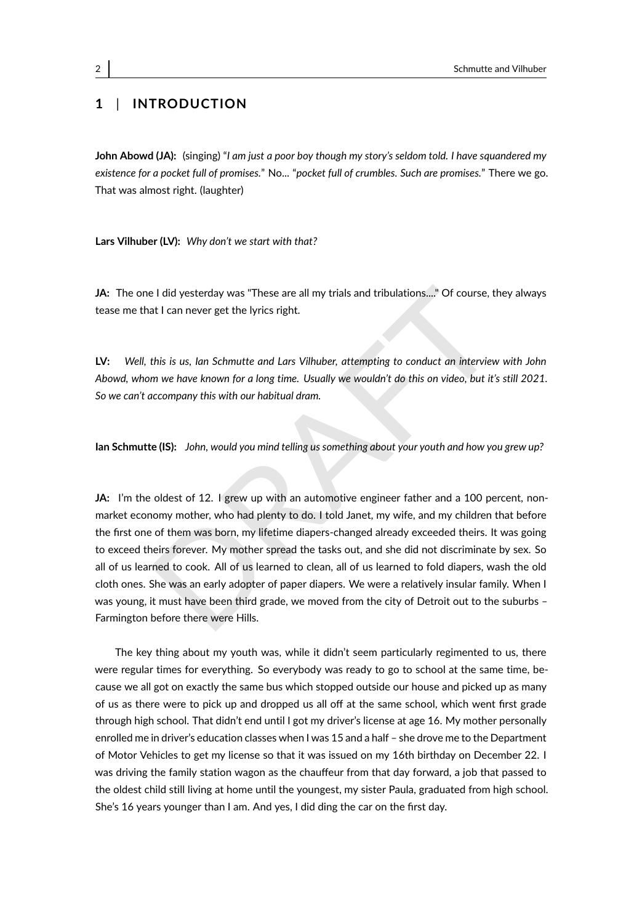### **1** | **INTRODUCTION**

**John Abowd (JA):** (singing) "*I am just a poor boy though my story's seldom told. I have squandered my existence for a pocket full of promises.*" No... "*pocket full of crumbles. Such are promises.*" There we go. That was almost right. (laughter)

**Lars Vilhuber (LV):** *Why don't we start with that?*

JA: The one I did yesterday was "These are all my trials and tribulations...." Of course, they always tease me that I can never get the lyrics right.

**LV:** *Well, this is us, Ian Schmutte and Lars Vilhuber, attempting to conduct an interview with John Abowd, whom we have known for a long time. Usually we wouldn't do this on video, but it's still 2021. So we can't accompany this with our habitual dram.*

**Ian Schmutte (IS):** *John, would you mind telling us something about your youth and how you grew up?*

Elial yesterday was "These are all my trials and tribulations...," Of course, they alway<br>at I can never get the lyrics right.<br>this is us, lan Schmutte and Lars Vilhuber, attempting to conduct an interview with Joh<br>m we hav **JA:** I'm the oldest of 12. I grew up with an automotive engineer father and a 100 percent, nonmarket economy mother, who had plenty to do. I told Janet, my wife, and my children that before the first one of them was born, my lifetime diapers-changed already exceeded theirs. It was going to exceed theirs forever. My mother spread the tasks out, and she did not discriminate by sex. So all of us learned to cook. All of us learned to clean, all of us learned to fold diapers, wash the old cloth ones. She was an early adopter of paper diapers. We were a relatively insular family. When I was young, it must have been third grade, we moved from the city of Detroit out to the suburbs – Farmington before there were Hills.

The key thing about my youth was, while it didn't seem particularly regimented to us, there were regular times for everything. So everybody was ready to go to school at the same time, because we all got on exactly the same bus which stopped outside our house and picked up as many of us as there were to pick up and dropped us all off at the same school, which went first grade through high school. That didn't end until I got my driver's license at age 16. My mother personally enrolled me in driver's education classes when I was 15 and a half – she drove me to the Department of Motor Vehicles to get my license so that it was issued on my 16th birthday on December 22. I was driving the family station wagon as the chauffeur from that day forward, a job that passed to the oldest child still living at home until the youngest, my sister Paula, graduated from high school. She's 16 years younger than I am. And yes, I did ding the car on the first day.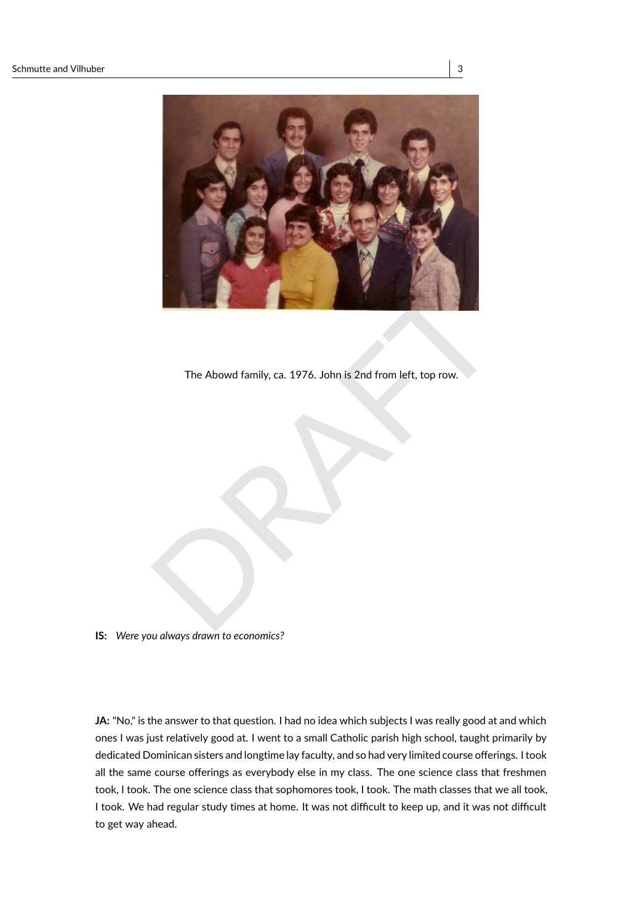

The Abowd family, ca. 1976. John is 2nd from left, top row.

**IS:** *Were you always drawn to economics?*

JA: "No," is the answer to that question. I had no idea which subjects I was really good at and which ones I was just relatively good at. I went to a small Catholic parish high school, taught primarily by dedicated Dominican sisters and longtime lay faculty, and so had very limited course offerings. I took all the same course offerings as everybody else in my class. The one science class that freshmen took, I took. The one science class that sophomores took, I took. The math classes that we all took, I took. We had regular study times at home. It was not difficult to keep up, and it was not difficult to get way ahead.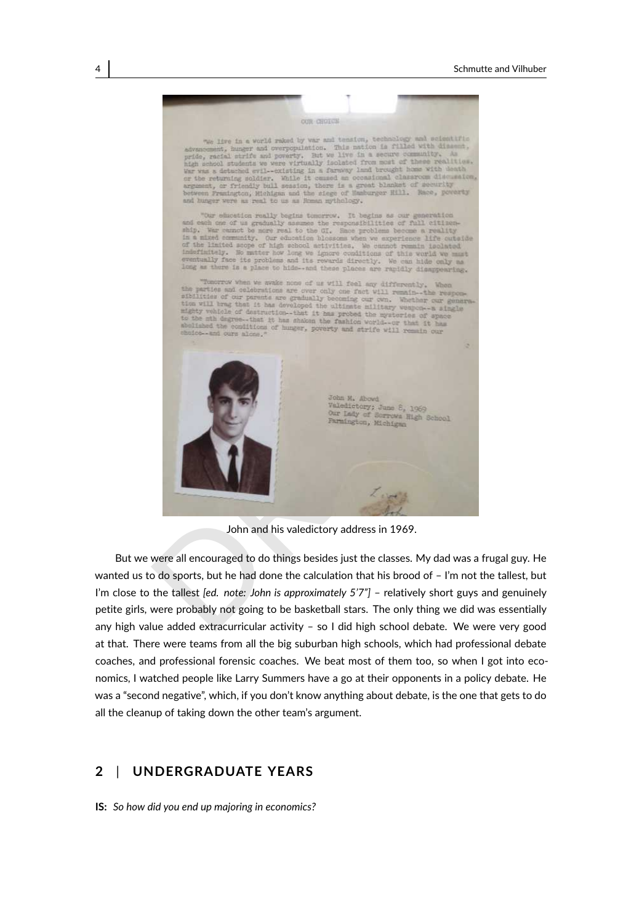

John and his valedictory address in 1969.

But we were all encouraged to do things besides just the classes. My dad was a frugal guy. He wanted us to do sports, but he had done the calculation that his brood of – I'm not the tallest, but I'm close to the tallest *[ed. note: John is approximately 5'7"]* – relatively short guys and genuinely petite girls, were probably not going to be basketball stars. The only thing we did was essentially any high value added extracurricular activity – so I did high school debate. We were very good at that. There were teams from all the big suburban high schools, which had professional debate coaches, and professional forensic coaches. We beat most of them too, so when I got into economics, I watched people like Larry Summers have a go at their opponents in a policy debate. He was a "second negative", which, if you don't know anything about debate, is the one that gets to do all the cleanup of taking down the other team's argument.

#### **2** | **UNDERGRADUATE YEARS**

**IS:** *So how did you end up majoring in economics?*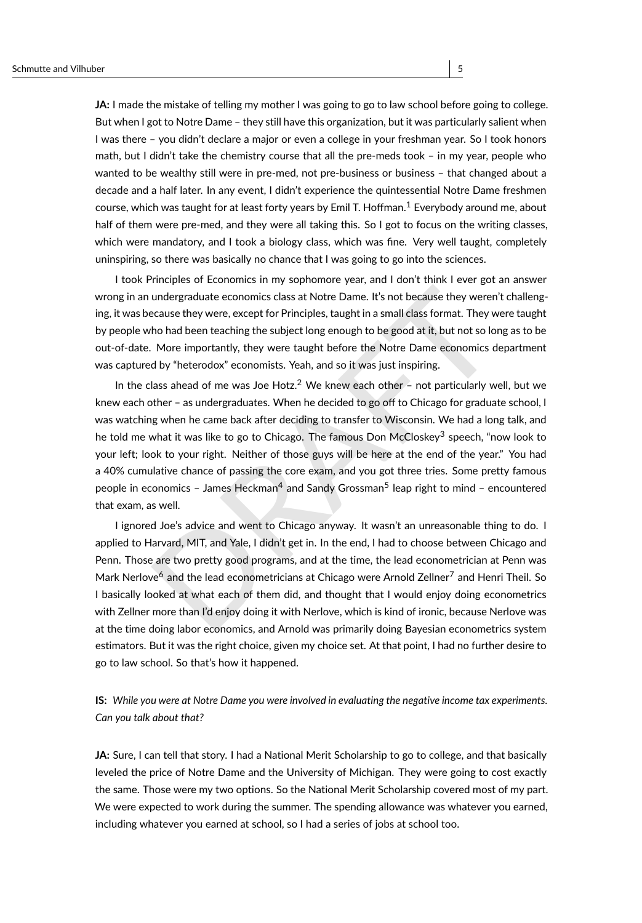**JA:** I made the mistake of telling my mother I was going to go to law school before going to college. But when I got to Notre Dame – they still have this organization, but it was particularly salient when I was there – you didn't declare a major or even a college in your freshman year. So I took honors

math, but I didn't take the chemistry course that all the pre-meds took – in my year, people who wanted to be wealthy still were in pre-med, not pre-business or business – that changed about a decade and a half later. In any event, I didn't experience the quintessential Notre Dame freshmen course, which was taught for at least forty years by Emil T. Hoffman. [1](#page-40-0) Everybody around me, about half of them were pre-med, and they were all taking this. So I got to focus on the writing classes, which were mandatory, and I took a biology class, which was fine. Very well taught, completely uninspiring, so there was basically no chance that I was going to go into the sciences.

I took Principles of Economics in my sophomore year, and I don't think I ever got an answer wrong in an undergraduate economics class at Notre Dame. It's not because they weren't challenging, it was because they were, except for Principles, taught in a small class format. They were taught by people who had been teaching the subject long enough to be good at it, but not so long as to be out-of-date. More importantly, they were taught before the Notre Dame economics department was captured by "heterodox" economists. Yeah, and so it was just inspiring.

undergraduate economics class at Notre [D](#page-40-5)ame. It's not because they weren't challen;<br>ecause they were, except for Principles, taught in a small class format. They were taugh<br>ho had been teaching the subject long enough to b In the class ahead of me was Joe Hotz.<sup>2</sup> We knew each other  $-$  not particularly well, but we knew each other – as undergraduates. When he decided to go off to Chicago for graduate school, I was watching when he came back after deciding to transfer to Wisconsin. We had a long talk, and he told me what it was like to go to Chicago. The famous Don McCloskey<sup>3</sup> speech, "now look to your left; look to your right. Neither of those guys will be here at the end of the year." You had a 40% cumulative chance of passing the core exam, and you got three tries. Some pretty famous people in economics - James Heckman<sup>4</sup> and Sandy Grossman<sup>5</sup> leap right to mind - encountered that exam, as well.

I ignored Joe's advice and went to Chicago anyway. It wasn't an unreasonable thing to do. I applied to Harvard, MIT, and Yale, I didn't get in. In the end, I had to choose between Chicago and Penn. Those are two pretty good programs, and at the time, the lead econometrician at Penn was Mark Nerlove<sup>6</sup> and the lead econometricians at Chicago were Arnold Zellner<sup>7</sup> and Henri Theil. So I basically looked at what each of them did, and thought that I would enjoy doing econometrics with Zellner more than I'd enjoy doing it with Nerlove, which is kind of ironic, because Nerlove was at the time doing labor economics, and Arnold was primarily doing Bayesian econometrics system estimators. But it was the right choice, given my choice set. At that point, I had no further desire to go to law school. So that's how it happened.

**IS:** *While you were at Notre Dame you were involved in evaluating the negative income tax experiments. Can you talk about that?*

**JA:** Sure, I can tell that story. I had a National Merit Scholarship to go to college, and that basically leveled the price of Notre Dame and the University of Michigan. They were going to cost exactly the same. Those were my two options. So the National Merit Scholarship covered most of my part. We were expected to work during the summer. The spending allowance was whatever you earned, including whatever you earned at school, so I had a series of jobs at school too.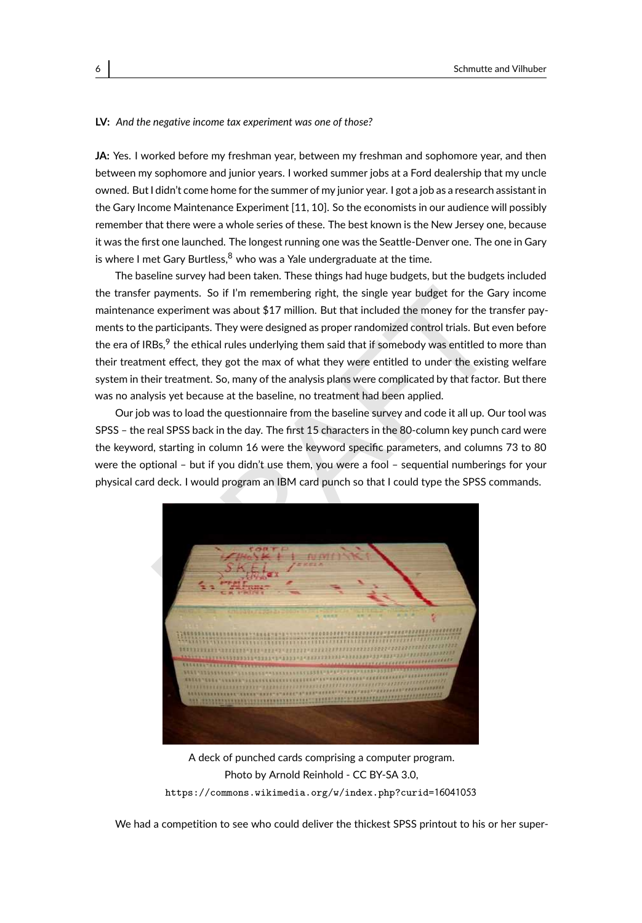#### **LV:** *And the negative income tax experiment was one of those?*

**JA:** Yes. I worked before my freshman year, between my freshman and sophomore year, and then between my sophomore and junior years. I worked summer jobs at a Ford dealership that my uncle owned. But I didn't come home for the summer of my junior year. I got a job as a research assistant in the Gary Income Maintenance Experiment [\[11,](#page-44-0) [10\]](#page-44-1). So the economists in our audience will possibly remember that there were a whole series of these. The best known is the New Jersey one, because it was the first one launched. The longest running one was the Seattle-Denver one. The one in Gary is where I met Gary Burtless,  $^8$  $^8$  who was a Yale undergraduate at the time.

The baseline survey had been taken. These things had huge budgets, but the budgets included the transfer payments. So if I'm remembering right, the single year budget for the Gary income maintenance experiment was about \$17 million. But that included the money for the transfer payments to the participants. They were designed as proper randomized control trials. But even before the era of IRBs,<sup>9</sup> the ethical rules underlying them said that if somebody was entitled to more than their treatment effect, they got the max of what they were entitled to under the existing welfare system in their treatment. So, many of the analysis plans were complicated by that factor. But there was no analysis yet because at the baseline, no treatment had been applied.

Our job was to load the questionnaire from the baseline survey and code it all up. Our tool was SPSS – the real SPSS back in the day. The first 15 characters in the 80-column key punch card were the keyword, starting in column 16 were the keyword specific parameters, and columns 73 to 80 were the optional – but if you didn't use them, you were a fool – sequential numberings for your physical card deck. I would program an IBM card punch so that I could type the SPSS commands.



A deck of punched cards comprising a computer program. Photo by Arnold Reinhold - CC BY-SA 3.0, [https://commons.wikimedia.org/w/index.php?curid=](https://commons.wikimedia.org/w/index.php?curid=16041053)16041053

We had a competition to see who could deliver the thickest SPSS printout to his or her super-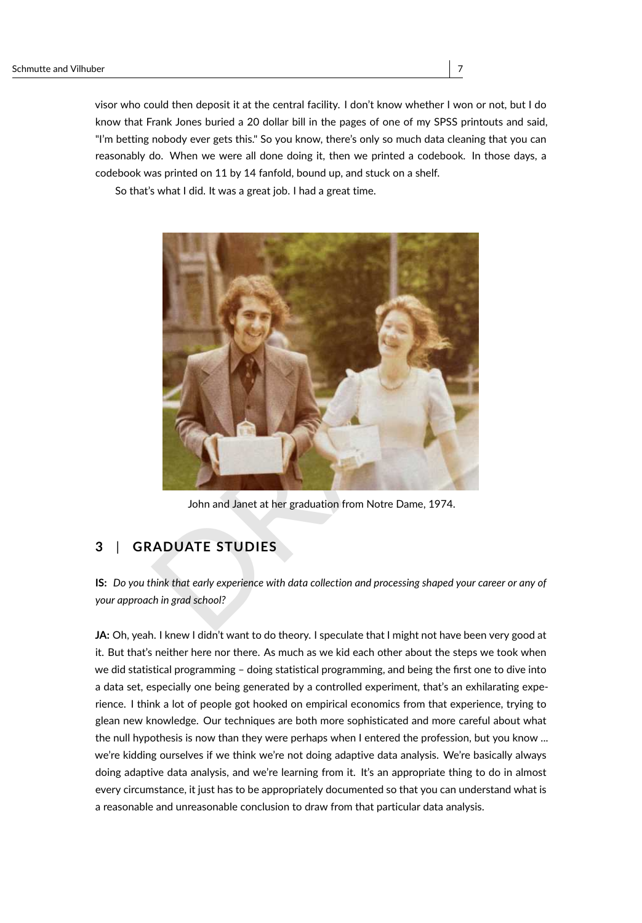visor who could then deposit it at the central facility. I don't know whether I won or not, but I do know that Frank Jones buried a 20 dollar bill in the pages of one of my SPSS printouts and said, "I'm betting nobody ever gets this." So you know, there's only so much data cleaning that you can reasonably do. When we were all done doing it, then we printed a codebook. In those days, a codebook was printed on 11 by 14 fanfold, bound up, and stuck on a shelf.

So that's what I did. It was a great job. I had a great time.



John and Janet at her graduation from Notre Dame, 1974.

### **3** | **GRADUATE STUDIES**

**IS:** *Do you think that early experience with data collection and processing shaped your career or any of your approach in grad school?*

**JA:** Oh, yeah. I knew I didn't want to do theory. I speculate that I might not have been very good at it. But that's neither here nor there. As much as we kid each other about the steps we took when we did statistical programming – doing statistical programming, and being the first one to dive into a data set, especially one being generated by a controlled experiment, that's an exhilarating experience. I think a lot of people got hooked on empirical economics from that experience, trying to glean new knowledge. Our techniques are both more sophisticated and more careful about what the null hypothesis is now than they were perhaps when I entered the profession, but you know ... we're kidding ourselves if we think we're not doing adaptive data analysis. We're basically always doing adaptive data analysis, and we're learning from it. It's an appropriate thing to do in almost every circumstance, it just has to be appropriately documented so that you can understand what is a reasonable and unreasonable conclusion to draw from that particular data analysis.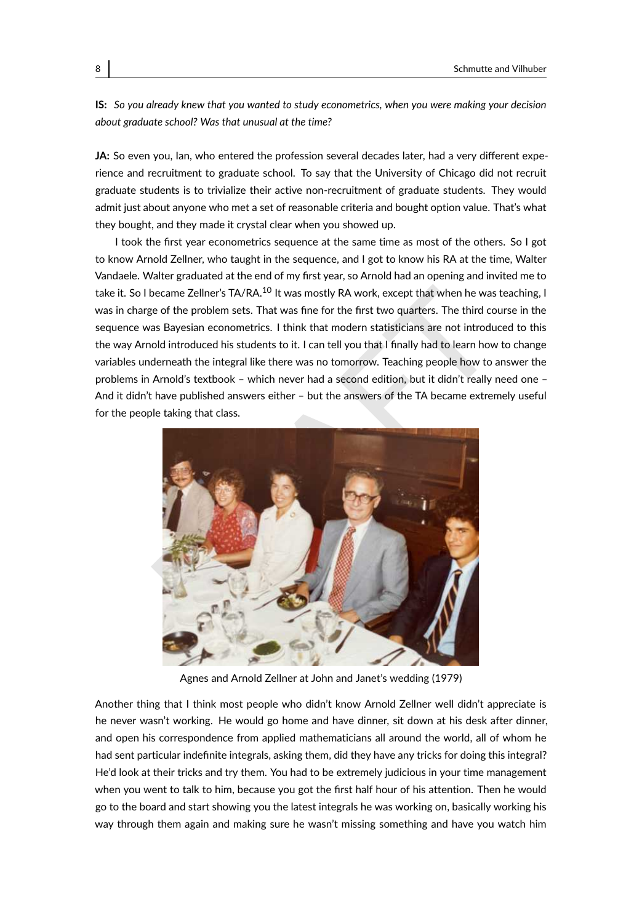**IS:** *So you already knew that you wanted to study econometrics, when you were making your decision about graduate school? Was that unusual at the time?*

**JA:** So even you, Ian, who entered the profession several decades later, had a very different experience and recruitment to graduate school. To say that the University of Chicago did not recruit graduate students is to trivialize their active non-recruitment of graduate students. They would admit just about anyone who met a set of reasonable criteria and bought option value. That's what they bought, and they made it crystal clear when you showed up.

I took the first year econometrics sequence at the same time as most of the others. So I got to know Arnold Zellner, who taught in the sequence, and I got to know his RA at the time, Walter Vandaele. Walter graduated at the end of my first year, so Arnold had an opening and invited me to take it. So I became Zellner's TA/RA.<sup>10</sup> It was mostly RA work, except that when he was teaching, I was in charge of the problem sets. That was fine for the first two quarters. The third course in the sequence was Bayesian econometrics. I think that modern statisticians are not introduced to this the way Arnold introduced his students to it. I can tell you that I finally had to learn how to change variables underneath the integral like there was no tomorrow. Teaching people how to answer the problems in Arnold's textbook – which never had a second edition, but it didn't really need one – And it didn't have published answers either – but the answers of the TA became extremely useful for the people taking that class.



Agnes and Arnold Zellner at John and Janet's wedding (1979)

Another thing that I think most people who didn't know Arnold Zellner well didn't appreciate is he never wasn't working. He would go home and have dinner, sit down at his desk after dinner, and open his correspondence from applied mathematicians all around the world, all of whom he had sent particular indefinite integrals, asking them, did they have any tricks for doing this integral? He'd look at their tricks and try them. You had to be extremely judicious in your time management when you went to talk to him, because you got the first half hour of his attention. Then he would go to the board and start showing you the latest integrals he was working on, basically working his way through them again and making sure he wasn't missing something and have you watch him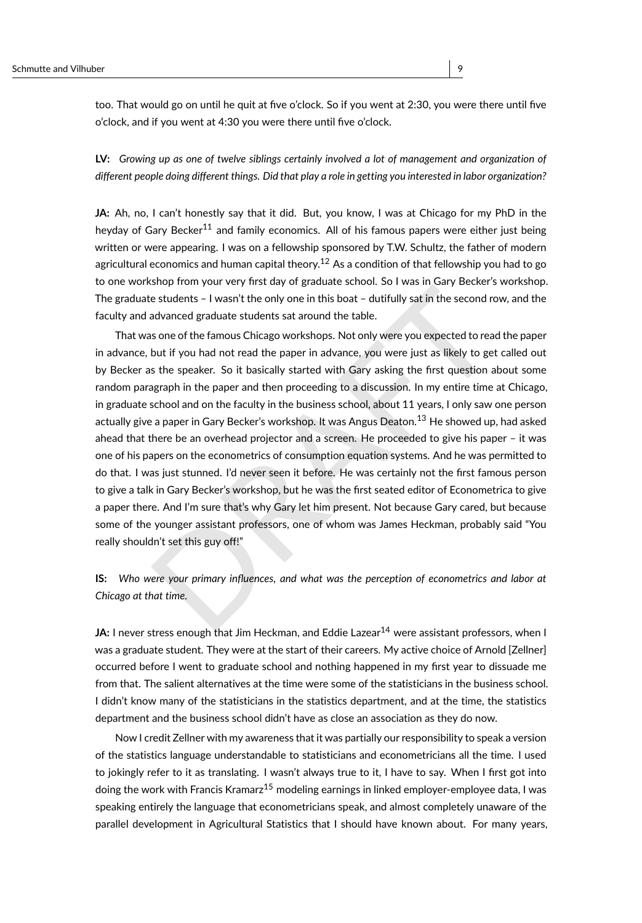too. That would go on until he quit at five o'clock. So if you went at 2:30, you were there until five o'clock, and if you went at 4:30 you were there until five o'clock.

**LV:** *Growing up as one of twelve siblings certainly involved a lot of management and organization of different people doing different things. Did that play a role in getting you interested in labor organization?*

**JA:** Ah, no, I can't honestly say that it did. But, you know, I was at Chicago for my PhD in the heyday of Gary Becker<sup>[11](#page-40-10)</sup> and family economics. All of his famous papers were either just being written or were appearing. I was on a fellowship sponsored by T.W. Schultz, the father of modern agricultural economics and human capital theory.<sup>[12](#page-40-11)</sup> As a condition of that fellowship you had to go to one workshop from your very first day of graduate school. So I was in Gary Becker's workshop. The graduate students – I wasn't the only one in this boat – dutifully sat in the second row, and the faculty and advanced graduate students sat around the table.

er students – I wasn't the only one in this boat – dutifully sat in the second row, and the students – I wasn't the only one in this boat – dutifully sat in the second row, and the datanced graduate students sat around the That was one of the famous Chicago workshops. Not only were you expected to read the paper in advance, but if you had not read the paper in advance, you were just as likely to get called out by Becker as the speaker. So it basically started with Gary asking the first question about some random paragraph in the paper and then proceeding to a discussion. In my entire time at Chicago, in graduate school and on the faculty in the business school, about 11 years, I only saw one person actually give a paper in Gary Becker's workshop. It was Angus Deaton.<sup>13</sup> He showed up, had asked ahead that there be an overhead projector and a screen. He proceeded to give his paper – it was one of his papers on the econometrics of consumption equation systems. And he was permitted to do that. I was just stunned. I'd never seen it before. He was certainly not the first famous person to give a talk in Gary Becker's workshop, but he was the first seated editor of Econometrica to give a paper there. And I'm sure that's why Gary let him present. Not because Gary cared, but because some of the younger assistant professors, one of whom was James Heckman, probably said "You really shouldn't set this guy off!"

**IS:** *Who were your primary influences, and what was the perception of econometrics and labor at Chicago at that time.*

**JA:** I never stress enough that Jim Heckman, and Eddie Lazear<sup>14</sup> were assistant professors, when I was a graduate student. They were at the start of their careers. My active choice of Arnold [Zellner] occurred before I went to graduate school and nothing happened in my first year to dissuade me from that. The salient alternatives at the time were some of the statisticians in the business school. I didn't know many of the statisticians in the statistics department, and at the time, the statistics department and the business school didn't have as close an association as they do now.

Now I credit Zellner with my awareness that it was partially our responsibility to speak a version of the statistics language understandable to statisticians and econometricians all the time. I used to jokingly refer to it as translating. I wasn't always true to it, I have to say. When I first got into doing the work with Francis Kramarz<sup>[15](#page-40-14)</sup> modeling earnings in linked employer-employee data, I was speaking entirely the language that econometricians speak, and almost completely unaware of the parallel development in Agricultural Statistics that I should have known about. For many years,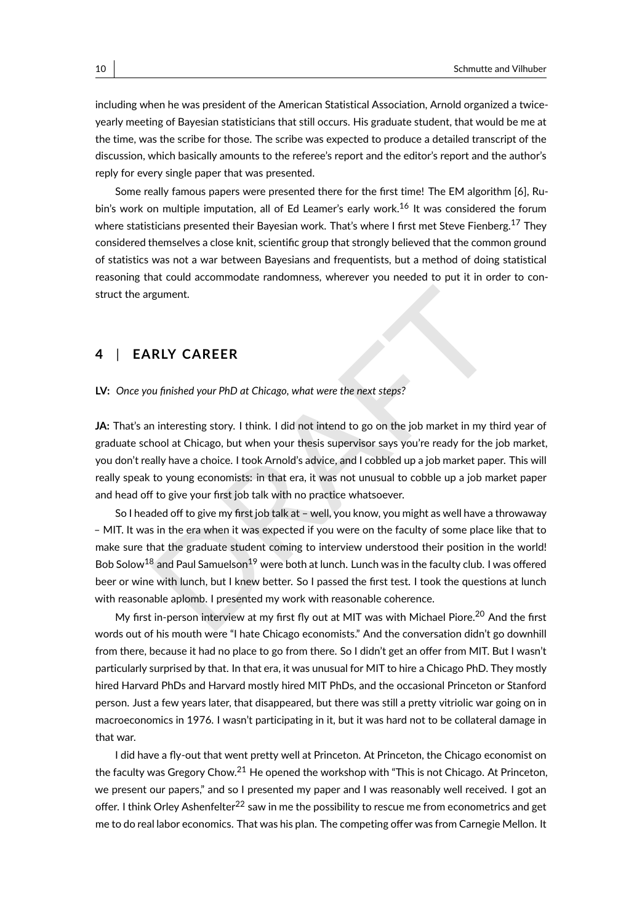including when he was president of the American Statistical Association, Arnold organized a twiceyearly meeting of Bayesian statisticians that still occurs. His graduate student, that would be me at the time, was the scribe for those. The scribe was expected to produce a detailed transcript of the discussion, which basically amounts to the referee's report and the editor's report and the author's reply for every single paper that was presented.

Some really famous papers were presented there for the first time! The EM algorithm [\[6\]](#page-44-2), Ru-bin's work on multiple imputation, all of Ed Leamer's early work.<sup>[16](#page-40-15)</sup> It was considered the forum where statisticians presented their Bayesian work. That's where I first met Steve Fienberg.<sup>[17](#page-40-16)</sup> They considered themselves a close knit, scientific group that strongly believed that the common ground of statistics was not a war between Bayesians and frequentists, but a method of doing statistical reasoning that could accommodate randomness, wherever you needed to put it in order to construct the argument.

### **4** | **EARLY CAREER**

#### **LV:** *Once you finished your PhD at Chicago, what were the next steps?*

**JA:** That's an interesting story. I think. I did not intend to go on the job market in my third year of graduate school at Chicago, but when your thesis supervisor says you're ready for the job market, you don't really have a choice. I took Arnold's advice, and I cobbled up a job market paper. This will really speak to young economists: in that era, it was not unusual to cobble up a job market paper and head off to give your first job talk with no practice whatsoever.

rgument.<br> **RLY CAREER**<br>
w finished your PhD at Chicago, what were the next steps?<br>
interesting story. I think. I did not intend to go on the job market in my third year cool at Chicago, but when your thesis supervisor says So I headed off to give my first job talk at – well, you know, you might as well have a throwaway – MIT. It was in the era when it was expected if you were on the faculty of some place like that to make sure that the graduate student coming to interview understood their position in the world! Bob Solow<sup>[18](#page-40-17)</sup> and Paul Samuelson<sup>19</sup> were both at lunch. Lunch was in the faculty club. I was offered beer or wine with lunch, but I knew better. So I passed the first test. I took the questions at lunch with reasonable aplomb. I presented my work with reasonable coherence.

My first in-person interview at my first fly out at MIT was with Michael Piore.<sup>20</sup> And the first words out of his mouth were "I hate Chicago economists." And the conversation didn't go downhill from there, because it had no place to go from there. So I didn't get an offer from MIT. But I wasn't particularly surprised by that. In that era, it was unusual for MIT to hire a Chicago PhD. They mostly hired Harvard PhDs and Harvard mostly hired MIT PhDs, and the occasional Princeton or Stanford person. Just a few years later, that disappeared, but there was still a pretty vitriolic war going on in macroeconomics in 1976. I wasn't participating in it, but it was hard not to be collateral damage in that war.

I did have a fly-out that went pretty well at Princeton. At Princeton, the Chicago economist on the faculty was Gregory Chow.<sup>[21](#page-40-20)</sup> He opened the workshop with "This is not Chicago. At Princeton, we present our papers," and so I presented my paper and I was reasonably well received. I got an offer. I think Orley Ashenfelter<sup>[22](#page-41-0)</sup> saw in me the possibility to rescue me from econometrics and get me to do real labor economics. That was his plan. The competing offer was from Carnegie Mellon. It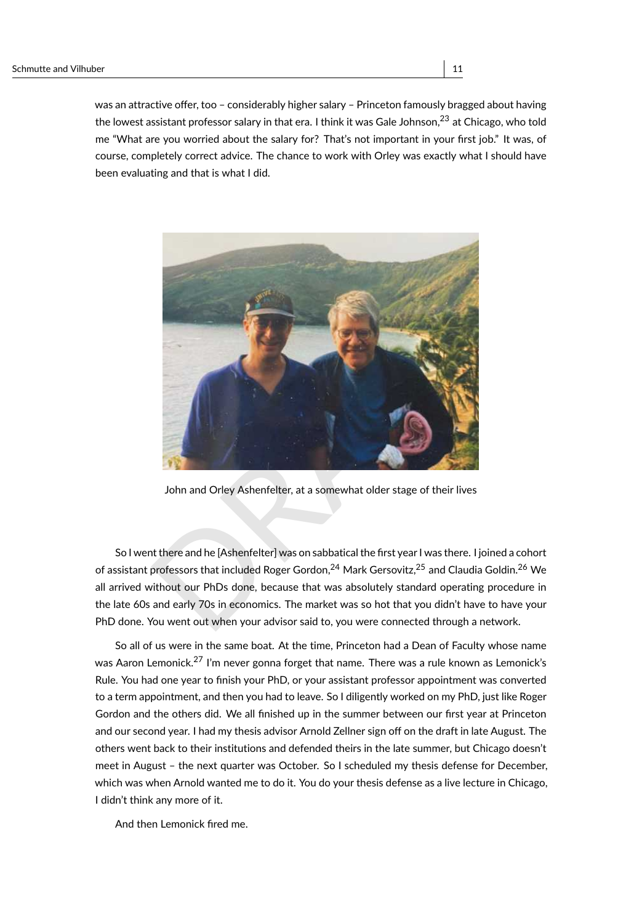was an attractive offer, too – considerably higher salary – Princeton famously bragged about having the lowest assistant professor salary in that era. I think it was Gale Johnson, $^{23}$  $^{23}$  $^{23}$  at Chicago, who told me "What are you worried about the salary for? That's not important in your first job." It was, of course, completely correct advice. The chance to work with Orley was exactly what I should have been evaluating and that is what I did.



John and Orley Ashenfelter, at a somewhat older stage of their lives

So I went there and he [Ashenfelter] was on sabbatical the first year I was there. I joined a cohort of assistant professors that included Roger Gordon,<sup>24</sup> Mark Gersovitz,<sup>25</sup> and Claudia Goldin.[26](#page-41-4) We all arrived without our PhDs done, because that was absolutely standard operating procedure in the late 60s and early 70s in economics. The market was so hot that you didn't have to have your PhD done. You went out when your advisor said to, you were connected through a network.

So all of us were in the same boat. At the time, Princeton had a Dean of Faculty whose name was Aaron Lemonick.<sup>[27](#page-41-5)</sup> I'm never gonna forget that name. There was a rule known as Lemonick's Rule. You had one year to finish your PhD, or your assistant professor appointment was converted to a term appointment, and then you had to leave. So I diligently worked on my PhD, just like Roger Gordon and the others did. We all finished up in the summer between our first year at Princeton and our second year. I had my thesis advisor Arnold Zellner sign off on the draft in late August. The others went back to their institutions and defended theirs in the late summer, but Chicago doesn't meet in August – the next quarter was October. So I scheduled my thesis defense for December, which was when Arnold wanted me to do it. You do your thesis defense as a live lecture in Chicago, I didn't think any more of it.

And then Lemonick fired me.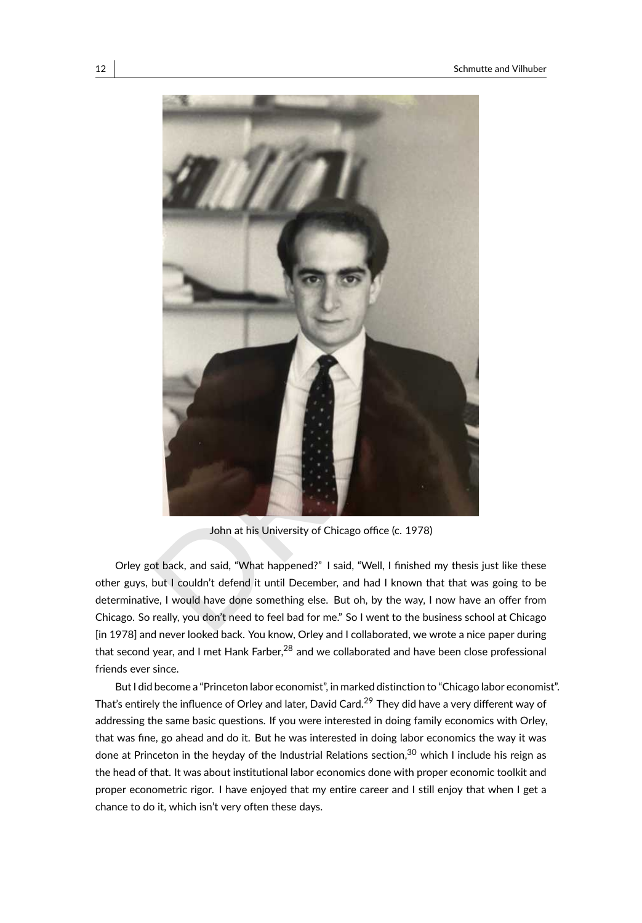

John at his University of Chicago office (c. 1978)

Orley got back, and said, "What happened?" I said, "Well, I finished my thesis just like these other guys, but I couldn't defend it until December, and had I known that that was going to be determinative, I would have done something else. But oh, by the way, I now have an offer from Chicago. So really, you don't need to feel bad for me." So I went to the business school at Chicago [in 1978] and never looked back. You know, Orley and I collaborated, we wrote a nice paper during that second year, and I met Hank Farber, $^{28}$  $^{28}$  $^{28}$  and we collaborated and have been close professional friends ever since.

But I did become a "Princeton labor economist", in marked distinction to "Chicago labor economist". That's entirely the influence of Orley and later, David Card.<sup>[29](#page-41-7)</sup> They did have a very different way of addressing the same basic questions. If you were interested in doing family economics with Orley, that was fine, go ahead and do it. But he was interested in doing labor economics the way it was done at Princeton in the heyday of the Industrial Relations section,  $30$  which I include his reign as the head of that. It was about institutional labor economics done with proper economic toolkit and proper econometric rigor. I have enjoyed that my entire career and I still enjoy that when I get a chance to do it, which isn't very often these days.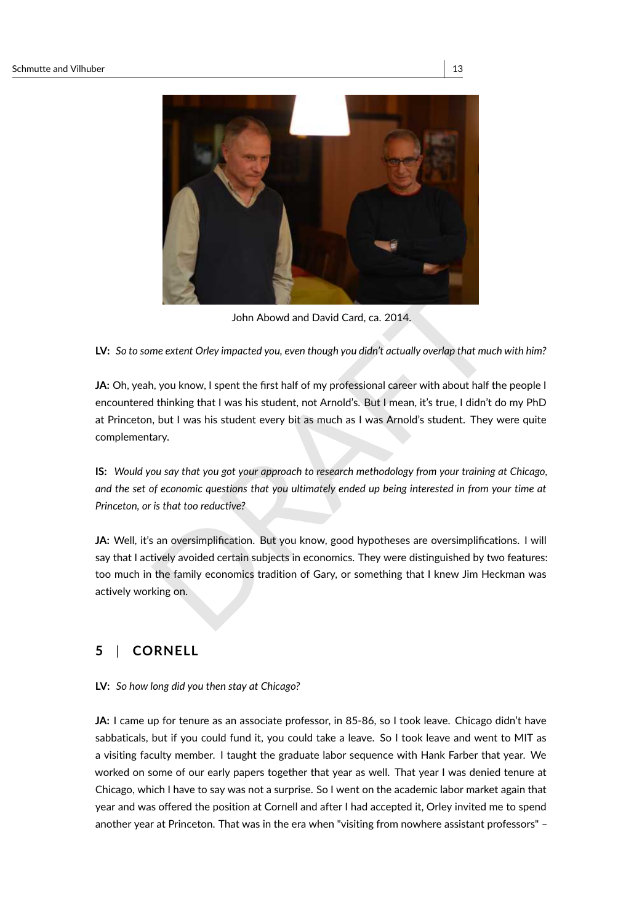

John Abowd and David Card, ca. 2014.

**LV:** *So to some extent Orley impacted you, even though you didn't actually overlap that much with him?*

John Abowd and David Card, ca. 2014.<br>
John Abowd and David Card, ca. 2014.<br>
The extent Orley impacted you, even though you didn't actually overlap that much with him<br>
N, you know, I spent the first half of my professional **JA:** Oh, yeah, you know, I spent the first half of my professional career with about half the people I encountered thinking that I was his student, not Arnold's. But I mean, it's true, I didn't do my PhD at Princeton, but I was his student every bit as much as I was Arnold's student. They were quite complementary.

**IS:** *Would you say that you got your approach to research methodology from your training at Chicago, and the set of economic questions that you ultimately ended up being interested in from your time at Princeton, or is that too reductive?*

JA: Well, it's an oversimplification. But you know, good hypotheses are oversimplifications. I will say that I actively avoided certain subjects in economics. They were distinguished by two features: too much in the family economics tradition of Gary, or something that I knew Jim Heckman was actively working on.

### **5** | **CORNELL**

#### **LV:** *So how long did you then stay at Chicago?*

JA: I came up for tenure as an associate professor, in 85-86, so I took leave. Chicago didn't have sabbaticals, but if you could fund it, you could take a leave. So I took leave and went to MIT as a visiting faculty member. I taught the graduate labor sequence with Hank Farber that year. We worked on some of our early papers together that year as well. That year I was denied tenure at Chicago, which I have to say was not a surprise. So I went on the academic labor market again that year and was offered the position at Cornell and after I had accepted it, Orley invited me to spend another year at Princeton. That was in the era when "visiting from nowhere assistant professors" –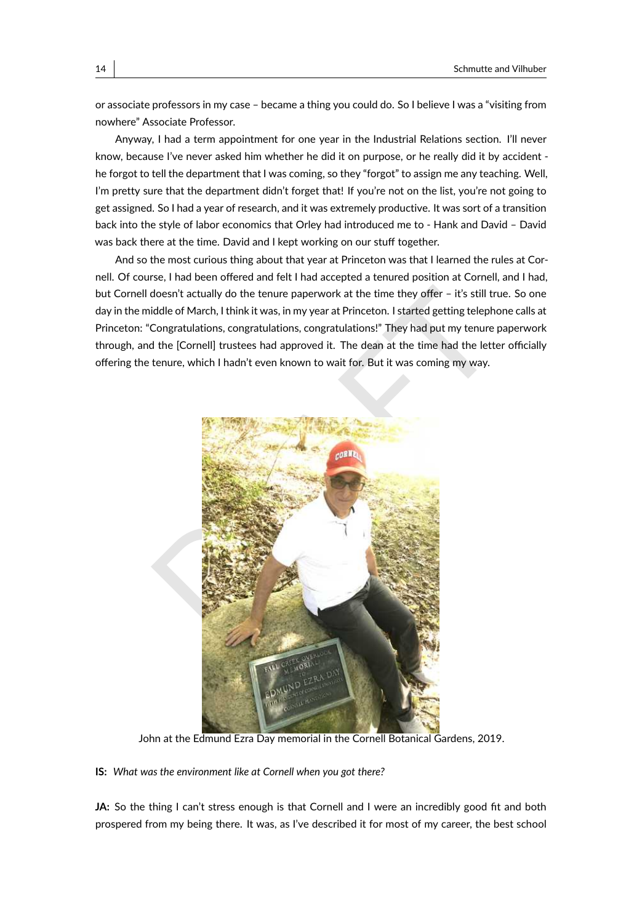or associate professors in my case – became a thing you could do. So I believe I was a "visiting from nowhere" Associate Professor.

Anyway, I had a term appointment for one year in the Industrial Relations section. I'll never know, because I've never asked him whether he did it on purpose, or he really did it by accident he forgot to tell the department that I was coming, so they "forgot" to assign me any teaching. Well, I'm pretty sure that the department didn't forget that! If you're not on the list, you're not going to get assigned. So I had a year of research, and it was extremely productive. It was sort of a transition back into the style of labor economics that Orley had introduced me to - Hank and David – David was back there at the time. David and I kept working on our stuff together.

And so the most curious thing about that year at Princeton was that I learned the rules at Cornell. Of course, I had been offered and felt I had accepted a tenured position at Cornell, and I had, but Cornell doesn't actually do the tenure paperwork at the time they offer – it's still true. So one day in the middle of March, I think it was, in my year at Princeton. I started getting telephone calls at Princeton: "Congratulations, congratulations, congratulations!" They had put my tenure paperwork through, and the [Cornell] trustees had approved it. The dean at the time had the letter officially offering the tenure, which I hadn't even known to wait for. But it was coming my way.



John at the Edmund Ezra Day memorial in the Cornell Botanical Gardens, 2019.

**IS:** *What was the environment like at Cornell when you got there?*

JA: So the thing I can't stress enough is that Cornell and I were an incredibly good fit and both prospered from my being there. It was, as I've described it for most of my career, the best school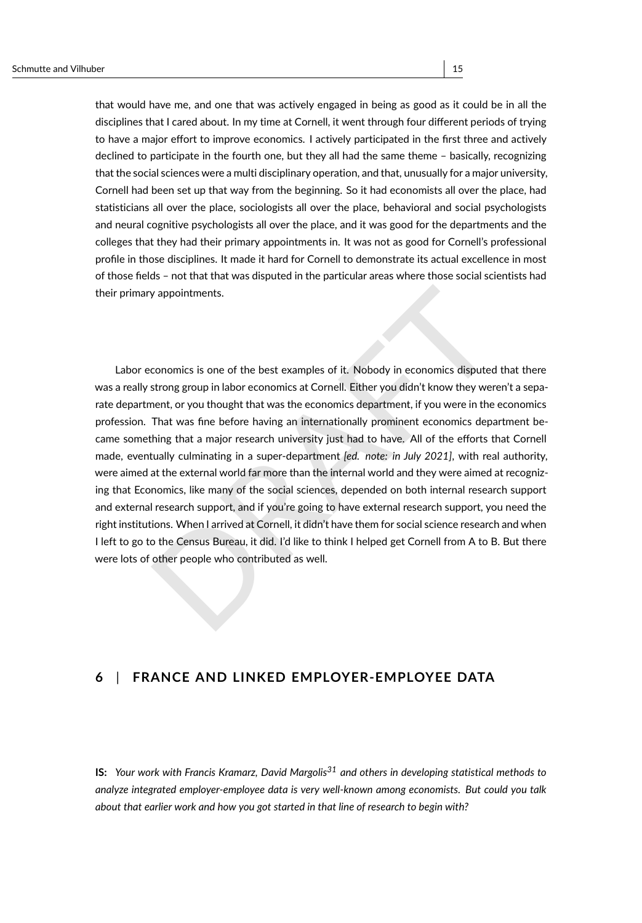that would have me, and one that was actively engaged in being as good as it could be in all the disciplines that I cared about. In my time at Cornell, it went through four different periods of trying to have a major effort to improve economics. I actively participated in the first three and actively declined to participate in the fourth one, but they all had the same theme – basically, recognizing that the social sciences were a multi disciplinary operation, and that, unusually for a major university, Cornell had been set up that way from the beginning. So it had economists all over the place, had statisticians all over the place, sociologists all over the place, behavioral and social psychologists and neural cognitive psychologists all over the place, and it was good for the departments and the colleges that they had their primary appointments in. It was not as good for Cornell's professional profile in those disciplines. It made it hard for Cornell to demonstrate its actual excellence in most of those fields – not that that was disputed in the particular areas where those social scientists had their primary appointments.

v appointments.<br>
conomics is one of the best examples of it. Nobody in economics disputed that ther<br>
strong group in labor economics at Cornell. Either you didn't know they weren't a sep-<br>
nent, or you thought that was the Labor economics is one of the best examples of it. Nobody in economics disputed that there was a really strong group in labor economics at Cornell. Either you didn't know they weren't a separate department, or you thought that was the economics department, if you were in the economics profession. That was fine before having an internationally prominent economics department became something that a major research university just had to have. All of the efforts that Cornell made, eventually culminating in a super-department *[ed. note: in July 2021]*, with real authority, were aimed at the external world far more than the internal world and they were aimed at recognizing that Economics, like many of the social sciences, depended on both internal research support and external research support, and if you're going to have external research support, you need the right institutions. When I arrived at Cornell, it didn't have them for social science research and when I left to go to the Census Bureau, it did. I'd like to think I helped get Cornell from A to B. But there were lots of other people who contributed as well.

### **6** | **FRANCE AND LINKED EMPLOYER-EMPLOYEE DATA**

**IS:** *Your work with Francis Kramarz, David Margolis[31](#page-41-9) and others in developing statistical methods to analyze integrated employer-employee data is very well-known among economists. But could you talk about that earlier work and how you got started in that line of research to begin with?*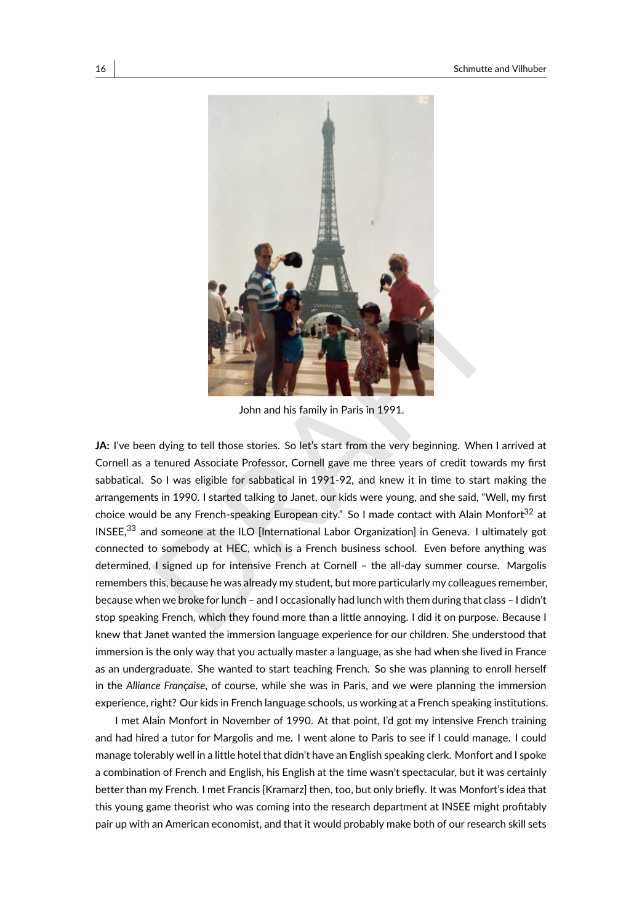

John and his family in Paris in 1991.

John and his family in Paris in 1991.<br>
John and his family in Paris in 1991.<br>
John and his family in Paris in 1991.<br>
Let the very beginning. When I arrived a<br>
tenured Associate Professor, Cornell gave me three years of cre **JA:** I've been dying to tell those stories. So let's start from the very beginning. When I arrived at Cornell as a tenured Associate Professor, Cornell gave me three years of credit towards my first sabbatical. So I was eligible for sabbatical in 1991-92, and knew it in time to start making the arrangements in 1990. I started talking to Janet, our kids were young, and she said, "Well, my first choice would be any French-speaking European city." So I made contact with Alain Monfort<sup>[32](#page-41-10)</sup> at INSEE,<sup>[33](#page-41-11)</sup> and someone at the ILO [International Labor Organization] in Geneva. I ultimately got connected to somebody at HEC, which is a French business school. Even before anything was determined, I signed up for intensive French at Cornell – the all-day summer course. Margolis remembers this, because he was already my student, but more particularly my colleagues remember, because when we broke for lunch – and I occasionally had lunch with them during that class – I didn't stop speaking French, which they found more than a little annoying. I did it on purpose. Because I knew that Janet wanted the immersion language experience for our children. She understood that immersion is the only way that you actually master a language, as she had when she lived in France as an undergraduate. She wanted to start teaching French. So she was planning to enroll herself in the *Alliance Française*, of course, while she was in Paris, and we were planning the immersion experience, right? Our kids in French language schools, us working at a French speaking institutions.

I met Alain Monfort in November of 1990. At that point, I'd got my intensive French training and had hired a tutor for Margolis and me. I went alone to Paris to see if I could manage. I could manage tolerably well in a little hotel that didn't have an English speaking clerk. Monfort and I spoke a combination of French and English, his English at the time wasn't spectacular, but it was certainly better than my French. I met Francis [Kramarz] then, too, but only briefly. It was Monfort's idea that this young game theorist who was coming into the research department at INSEE might profitably pair up with an American economist, and that it would probably make both of our research skill sets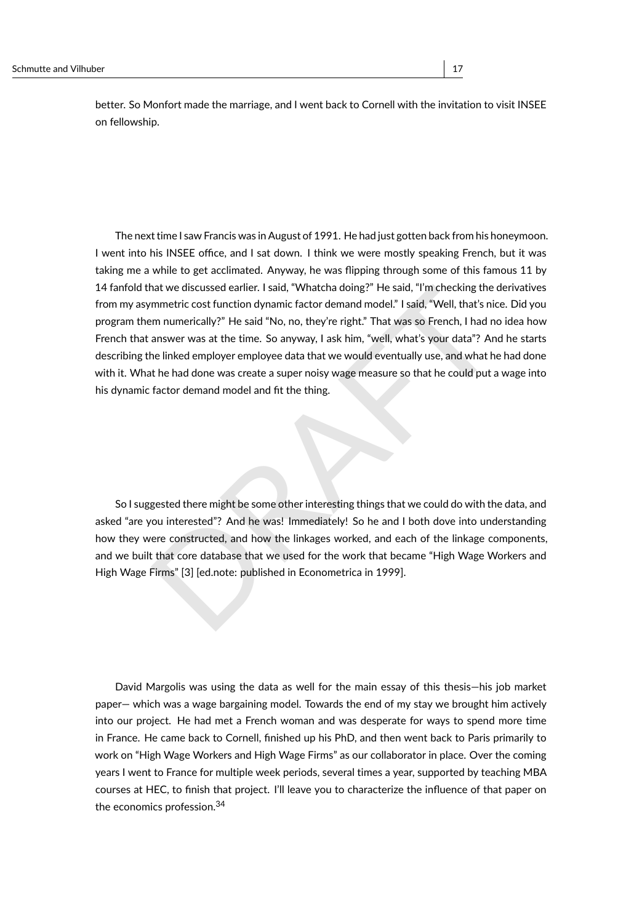better. So Monfort made the marriage, and I went back to Cornell with the invitation to visit INSEE on fellowship.

nat we discussed earlier. I said, "Whatcha doing?" He said, "I'm checking the derivative<br>mmetric cost function dynamic factor demand model." I said, "Well, that's nice. [D](#page-44-3)id yo<br>m m unmerically?" He said "No, no, they're rig The next time I saw Francis was in August of 1991. He had just gotten back from his honeymoon. I went into his INSEE office, and I sat down. I think we were mostly speaking French, but it was taking me a while to get acclimated. Anyway, he was flipping through some of this famous 11 by 14 fanfold that we discussed earlier. I said, "Whatcha doing?" He said, "I'm checking the derivatives from my asymmetric cost function dynamic factor demand model." I said, "Well, that's nice. Did you program them numerically?" He said "No, no, they're right." That was so French, I had no idea how French that answer was at the time. So anyway, I ask him, "well, what's your data"? And he starts describing the linked employer employee data that we would eventually use, and what he had done with it. What he had done was create a super noisy wage measure so that he could put a wage into his dynamic factor demand model and fit the thing.

So I suggested there might be some other interesting things that we could do with the data, and asked "are you interested"? And he was! Immediately! So he and I both dove into understanding how they were constructed, and how the linkages worked, and each of the linkage components, and we built that core database that we used for the work that became "High Wage Workers and High Wage Firms" [3] [ed.note: published in Econometrica in 1999].

David Margolis was using the data as well for the main essay of this thesis—his job market paper— which was a wage bargaining model. Towards the end of my stay we brought him actively into our project. He had met a French woman and was desperate for ways to spend more time in France. He came back to Cornell, finished up his PhD, and then went back to Paris primarily to work on "High Wage Workers and High Wage Firms" as our collaborator in place. Over the coming years I went to France for multiple week periods, several times a year, supported by teaching MBA courses at HEC, to finish that project. I'll leave you to characterize the influence of that paper on the economics profession.[34](#page-41-12)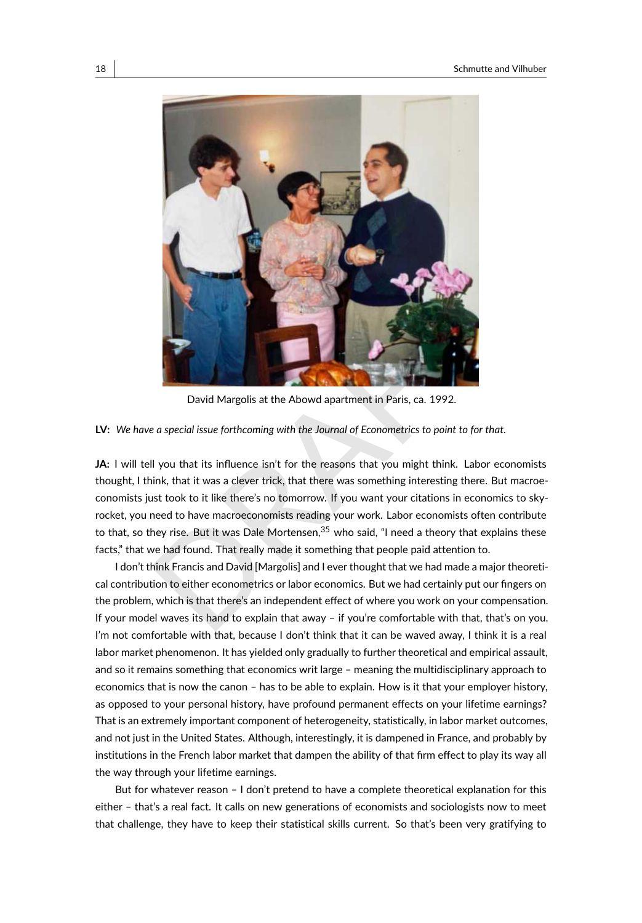

David Margolis at the Abowd apartment in Paris, ca. 1992.

#### **LV:** *We have a special issue forthcoming with the Journal of Econometrics to point to for that.*

David Margolis at the Abowd apartment in Paris, ca. 1992.<br>
David Margolis at the Abowd apartment in Paris, ca. 1992.<br>
Lease a special issue forthcoming with the Journal of Econometrics to point to for that.<br>
Il you that it **JA:** I will tell you that its influence isn't for the reasons that you might think. Labor economists thought, I think, that it was a clever trick, that there was something interesting there. But macroeconomists just took to it like there's no tomorrow. If you want your citations in economics to skyrocket, you need to have macroeconomists reading your work. Labor economists often contribute to that, so they rise. But it was Dale Mortensen,  $35$  who said, "I need a theory that explains these facts," that we had found. That really made it something that people paid attention to.

I don't think Francis and David [Margolis] and I ever thought that we had made a major theoretical contribution to either econometrics or labor economics. But we had certainly put our fingers on the problem, which is that there's an independent effect of where you work on your compensation. If your model waves its hand to explain that away – if you're comfortable with that, that's on you. I'm not comfortable with that, because I don't think that it can be waved away, I think it is a real labor market phenomenon. It has yielded only gradually to further theoretical and empirical assault, and so it remains something that economics writ large – meaning the multidisciplinary approach to economics that is now the canon – has to be able to explain. How is it that your employer history, as opposed to your personal history, have profound permanent effects on your lifetime earnings? That is an extremely important component of heterogeneity, statistically, in labor market outcomes, and not just in the United States. Although, interestingly, it is dampened in France, and probably by institutions in the French labor market that dampen the ability of that firm effect to play its way all the way through your lifetime earnings.

But for whatever reason – I don't pretend to have a complete theoretical explanation for this either – that's a real fact. It calls on new generations of economists and sociologists now to meet that challenge, they have to keep their statistical skills current. So that's been very gratifying to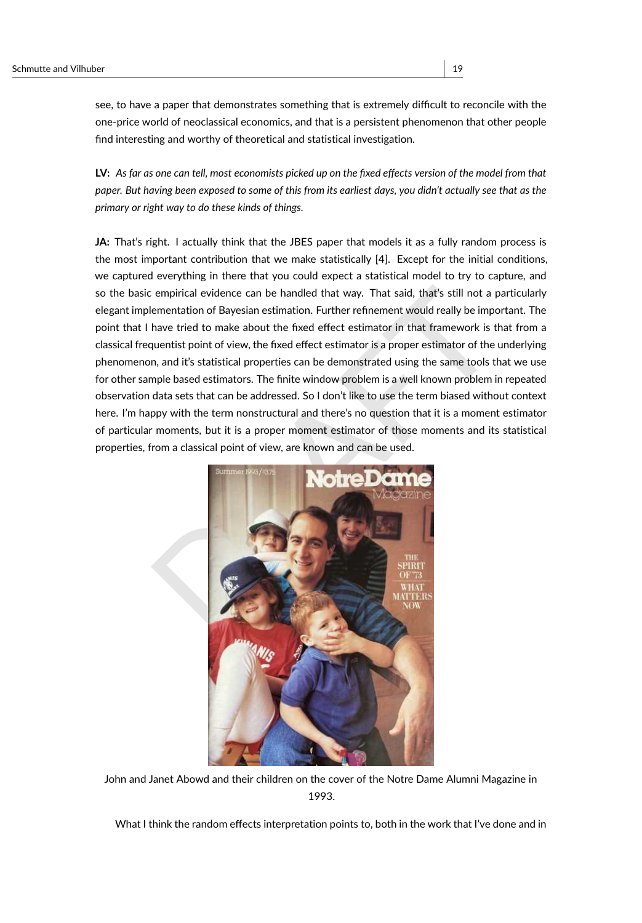see, to have a paper that demonstrates something that is extremely difficult to reconcile with the one-price world of neoclassical economics, and that is a persistent phenomenon that other people find interesting and worthy of theoretical and statistical investigation.

**LV:** *As far as one can tell, most economists picked up on the fixed effects version of the model from that paper. But having been exposed to some of this from its earliest days, you didn't actually see that as the primary or right way to do these kinds of things.*

empirical evidence can be handled that way. That said, that's still not a particular<br>
ementation of Bayesian estimation. Further refinement would really be important. Th<br>
have tried to make about the fixed effect estimator **JA:** That's right. I actually think that the JBES paper that models it as a fully random process is the most important contribution that we make statistically [\[4\]](#page-44-4). Except for the initial conditions, we captured everything in there that you could expect a statistical model to try to capture, and so the basic empirical evidence can be handled that way. That said, that's still not a particularly elegant implementation of Bayesian estimation. Further refinement would really be important. The point that I have tried to make about the fixed effect estimator in that framework is that from a classical frequentist point of view, the fixed effect estimator is a proper estimator of the underlying phenomenon, and it's statistical properties can be demonstrated using the same tools that we use for other sample based estimators. The finite window problem is a well known problem in repeated observation data sets that can be addressed. So I don't like to use the term biased without context here. I'm happy with the term nonstructural and there's no question that it is a moment estimator of particular moments, but it is a proper moment estimator of those moments and its statistical properties, from a classical point of view, are known and can be used.



John and Janet Abowd and their children on the cover of the Notre Dame Alumni Magazine in 1993.

What I think the random effects interpretation points to, both in the work that I've done and in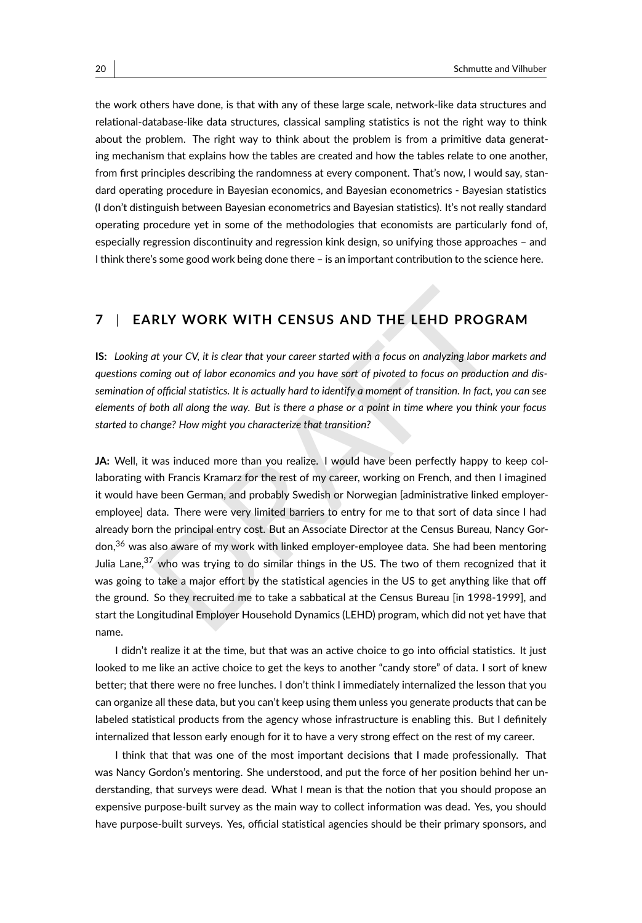the work others have done, is that with any of these large scale, network-like data structures and relational-database-like data structures, classical sampling statistics is not the right way to think about the problem. The right way to think about the problem is from a primitive data generating mechanism that explains how the tables are created and how the tables relate to one another, from first principles describing the randomness at every component. That's now, I would say, standard operating procedure in Bayesian economics, and Bayesian econometrics - Bayesian statistics (I don't distinguish between Bayesian econometrics and Bayesian statistics). It's not really standard operating procedure yet in some of the methodologies that economists are particularly fond of, especially regression discontinuity and regression kink design, so unifying those approaches – and I think there's some good work being done there – is an important contribution to the science here.

#### **7** | **EARLY WORK WITH CENSUS AND THE LEHD PROGRAM**

**IS:** *Looking at your CV, it is clear that your career started with a focus on analyzing labor markets and questions coming out of labor economics and you have sort of pivoted to focus on production and dissemination of official statistics. It is actually hard to identify a moment of transition. In fact, you can see elements of both all along the way. But is there a phase or a point in time where you think your focus started to change? How might you characterize that transition?*

RLY WORK WITH CENSUS AND THE LEHD PROGRAM<br>at your CV, it is clear that your career started with a focus on analyzing labor markets an<br>ming out of labor economics and you have sort of pivoted to focus on production and di<br>f **JA:** Well, it was induced more than you realize. I would have been perfectly happy to keep collaborating with Francis Kramarz for the rest of my career, working on French, and then I imagined it would have been German, and probably Swedish or Norwegian [administrative linked employeremployee] data. There were very limited barriers to entry for me to that sort of data since I had already born the principal entry cost. But an Associate Director at the Census Bureau, Nancy Gor-don,<sup>[36](#page-41-14)</sup> was also aware of my work with linked employer-employee data. She had been mentoring Julia Lane, $37$  who was trying to do similar things in the US. The two of them recognized that it was going to take a major effort by the statistical agencies in the US to get anything like that off the ground. So they recruited me to take a sabbatical at the Census Bureau [in 1998-1999], and start the Longitudinal Employer Household Dynamics (LEHD) program, which did not yet have that name.

I didn't realize it at the time, but that was an active choice to go into official statistics. It just looked to me like an active choice to get the keys to another "candy store" of data. I sort of knew better; that there were no free lunches. I don't think I immediately internalized the lesson that you can organize all these data, but you can't keep using them unless you generate products that can be labeled statistical products from the agency whose infrastructure is enabling this. But I definitely internalized that lesson early enough for it to have a very strong effect on the rest of my career.

I think that that was one of the most important decisions that I made professionally. That was Nancy Gordon's mentoring. She understood, and put the force of her position behind her understanding, that surveys were dead. What I mean is that the notion that you should propose an expensive purpose-built survey as the main way to collect information was dead. Yes, you should have purpose-built surveys. Yes, official statistical agencies should be their primary sponsors, and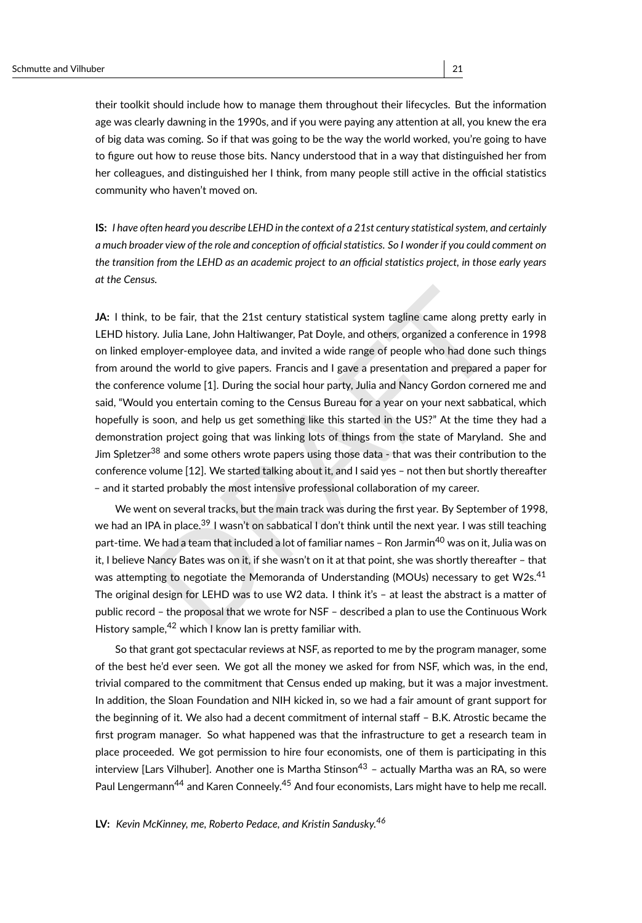their toolkit should include how to manage them throughout their lifecycles. But the information age was clearly dawning in the 1990s, and if you were paying any attention at all, you knew the era of big data was coming. So if that was going to be the way the world worked, you're going to have to figure out how to reuse those bits. Nancy understood that in a way that distinguished her from her colleagues, and distinguished her I think, from many people still active in the official statistics community who haven't moved on.

**IS:** *I have often heard you describe LEHD in the context of a 21st century statistical system, and certainly a much broader view of the role and conception of official statistics. So I wonder if you could comment on the transition from the LEHD as an academic project to an official statistics project, in those early years at the Census.*

to be fair, that the 21st century statistical system tagline came along pretty early y. Julia Lane, John Haltiwanger, Pat [D](#page-41-20)oyle, and others, organized a conference in 199<br>phloyer-employee data, and invited a wide range of **JA:** I think, to be fair, that the 21st century statistical system tagline came along pretty early in LEHD history. Julia Lane, John Haltiwanger, Pat Doyle, and others, organized a conference in 1998 on linked employer-employee data, and invited a wide range of people who had done such things from around the world to give papers. Francis and I gave a presentation and prepared a paper for the conference volume [1]. During the social hour party, Julia and Nancy Gordon cornered me and said, "Would you entertain coming to the Census Bureau for a year on your next sabbatical, which hopefully is soon, and help us get something like this started in the US?" At the time they had a demonstration project going that was linking lots of things from the state of Maryland. She and Jim Spletzer<sup>38</sup> and some others wrote papers using those data - that was their contribution to the conference volume [12]. We started talking about it, and I said yes – not then but shortly thereafter – and it started probably the most intensive professional collaboration of my career.

We went on several tracks, but the main track was during the first year. By September of 1998, we had an IPA in place.<sup>39</sup> I wasn't on sabbatical I don't think until the next year. I was still teaching part-time. We had a team that included a lot of familiar names - Ron Jarmin<sup>40</sup> was on it, Julia was on it, I believe Nancy Bates was on it, if she wasn't on it at that point, she was shortly thereafter – that was attempting to negotiate the Memoranda of Understanding (MOUs) necessary to get W2s.<sup>[41](#page-41-19)</sup> The original design for LEHD was to use W2 data. I think it's – at least the abstract is a matter of public record – the proposal that we wrote for NSF – described a plan to use the Continuous Work History sample,<sup>42</sup> which I know Ian is pretty familiar with.

So that grant got spectacular reviews at NSF, as reported to me by the program manager, some of the best he'd ever seen. We got all the money we asked for from NSF, which was, in the end, trivial compared to the commitment that Census ended up making, but it was a major investment. In addition, the Sloan Foundation and NIH kicked in, so we had a fair amount of grant support for the beginning of it. We also had a decent commitment of internal staff – B.K. Atrostic became the first program manager. So what happened was that the infrastructure to get a research team in place proceeded. We got permission to hire four economists, one of them is participating in this interview [Lars Vilhuber]. Another one is Martha Stinson $43$  - actually Martha was an RA, so were Paul Lengermann<sup>[44](#page-41-22)</sup> and Karen Conneely.<sup>[45](#page-41-23)</sup> And four economists, Lars might have to help me recall.

**LV:** *Kevin McKinney, me, Roberto Pedace, and Kristin Sandusky.[46](#page-41-24)*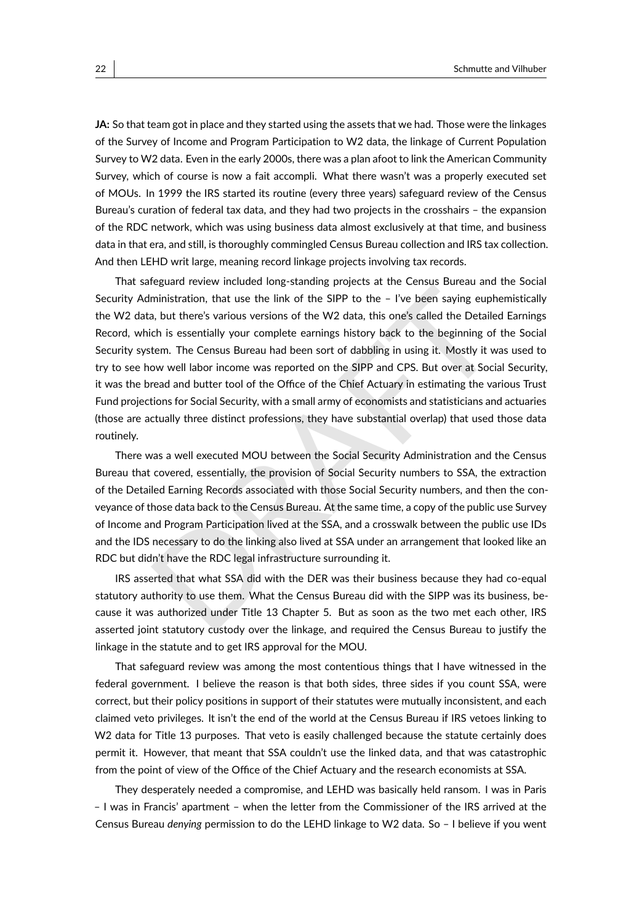**JA:** So that team got in place and they started using the assets that we had. Those were the linkages of the Survey of Income and Program Participation to W2 data, the linkage of Current Population Survey to W2 data. Even in the early 2000s, there was a plan afoot to link the American Community Survey, which of course is now a fait accompli. What there wasn't was a properly executed set of MOUs. In 1999 the IRS started its routine (every three years) safeguard review of the Census Bureau's curation of federal tax data, and they had two projects in the crosshairs – the expansion of the RDC network, which was using business data almost exclusively at that time, and business data in that era, and still, is thoroughly commingled Census Bureau collection and IRS tax collection. And then LEHD writ large, meaning record linkage projects involving tax records.

ministration, that use the link of the SIPP to the – I've been saying euphemistical<br>a, but there's various versions of the W2 data, this one's called the Detailed Earning<br>ch is essentially your complete earnings history ba That safeguard review included long-standing projects at the Census Bureau and the Social Security Administration, that use the link of the SIPP to the – I've been saying euphemistically the W2 data, but there's various versions of the W2 data, this one's called the Detailed Earnings Record, which is essentially your complete earnings history back to the beginning of the Social Security system. The Census Bureau had been sort of dabbling in using it. Mostly it was used to try to see how well labor income was reported on the SIPP and CPS. But over at Social Security, it was the bread and butter tool of the Office of the Chief Actuary in estimating the various Trust Fund projections for Social Security, with a small army of economists and statisticians and actuaries (those are actually three distinct professions, they have substantial overlap) that used those data routinely.

There was a well executed MOU between the Social Security Administration and the Census Bureau that covered, essentially, the provision of Social Security numbers to SSA, the extraction of the Detailed Earning Records associated with those Social Security numbers, and then the conveyance of those data back to the Census Bureau. At the same time, a copy of the public use Survey of Income and Program Participation lived at the SSA, and a crosswalk between the public use IDs and the IDS necessary to do the linking also lived at SSA under an arrangement that looked like an RDC but didn't have the RDC legal infrastructure surrounding it.

IRS asserted that what SSA did with the DER was their business because they had co-equal statutory authority to use them. What the Census Bureau did with the SIPP was its business, because it was authorized under Title 13 Chapter 5. But as soon as the two met each other, IRS asserted joint statutory custody over the linkage, and required the Census Bureau to justify the linkage in the statute and to get IRS approval for the MOU.

That safeguard review was among the most contentious things that I have witnessed in the federal government. I believe the reason is that both sides, three sides if you count SSA, were correct, but their policy positions in support of their statutes were mutually inconsistent, and each claimed veto privileges. It isn't the end of the world at the Census Bureau if IRS vetoes linking to W2 data for Title 13 purposes. That veto is easily challenged because the statute certainly does permit it. However, that meant that SSA couldn't use the linked data, and that was catastrophic from the point of view of the Office of the Chief Actuary and the research economists at SSA.

They desperately needed a compromise, and LEHD was basically held ransom. I was in Paris – I was in Francis' apartment – when the letter from the Commissioner of the IRS arrived at the Census Bureau *denying* permission to do the LEHD linkage to W2 data. So – I believe if you went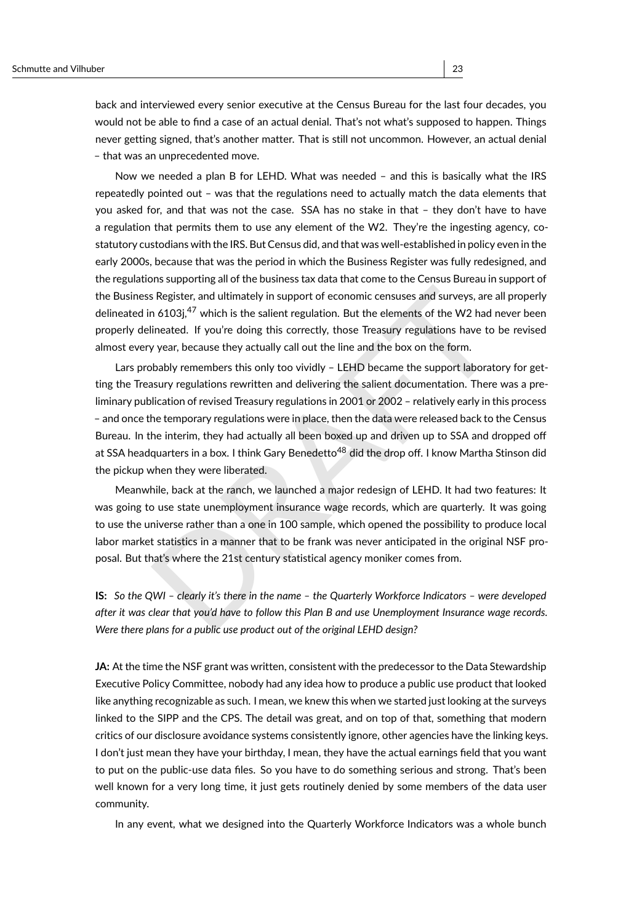back and interviewed every senior executive at the Census Bureau for the last four decades, you would not be able to find a case of an actual denial. That's not what's supposed to happen. Things never getting signed, that's another matter. That is still not uncommon. However, an actual denial – that was an unprecedented move.

Now we needed a plan B for LEHD. What was needed – and this is basically what the IRS repeatedly pointed out – was that the regulations need to actually match the data elements that you asked for, and that was not the case. SSA has no stake in that – they don't have to have a regulation that permits them to use any element of the W2. They're the ingesting agency, costatutory custodians with the IRS. But Census did, and that was well-established in policy even in the early 2000s, because that was the period in which the Business Register was fully redesigned, and the regulations supporting all of the business tax data that come to the Census Bureau in support of the Business Register, and ultimately in support of economic censuses and surveys, are all properly delineated in 6103j,<sup>47</sup> which is the salient regulation. But the elements of the W2 had never been properly delineated. If you're doing this correctly, those Treasury regulations have to be revised almost every year, because they actually call out the line and the box on the form.

is Register, and ultimately in support of economic censuses and surveys, are all proper<br>
in 6103j,<sup>47</sup> which is the salient regulation. But the elements of the W2 had never bee<br>
lineated. If you're doing this correctly, th Lars probably remembers this only too vividly – LEHD became the support laboratory for getting the Treasury regulations rewritten and delivering the salient documentation. There was a preliminary publication of revised Treasury regulations in 2001 or 2002 – relatively early in this process – and once the temporary regulations were in place, then the data were released back to the Census Bureau. In the interim, they had actually all been boxed up and driven up to SSA and dropped off at SSA headquarters in a box. I think Gary Benedetto<sup>48</sup> did the drop off. I know Martha Stinson did the pickup when they were liberated.

Meanwhile, back at the ranch, we launched a major redesign of LEHD. It had two features: It was going to use state unemployment insurance wage records, which are quarterly. It was going to use the universe rather than a one in 100 sample, which opened the possibility to produce local labor market statistics in a manner that to be frank was never anticipated in the original NSF proposal. But that's where the 21st century statistical agency moniker comes from.

**IS:** *So the QWI – clearly it's there in the name – the Quarterly Workforce Indicators – were developed after it was clear that you'd have to follow this Plan B and use Unemployment Insurance wage records. Were there plans for a public use product out of the original LEHD design?*

**JA:** At the time the NSF grant was written, consistent with the predecessor to the Data Stewardship Executive Policy Committee, nobody had any idea how to produce a public use product that looked like anything recognizable as such. I mean, we knew this when we started just looking at the surveys linked to the SIPP and the CPS. The detail was great, and on top of that, something that modern critics of our disclosure avoidance systems consistently ignore, other agencies have the linking keys. I don't just mean they have your birthday, I mean, they have the actual earnings field that you want to put on the public-use data files. So you have to do something serious and strong. That's been well known for a very long time, it just gets routinely denied by some members of the data user community.

In any event, what we designed into the Quarterly Workforce Indicators was a whole bunch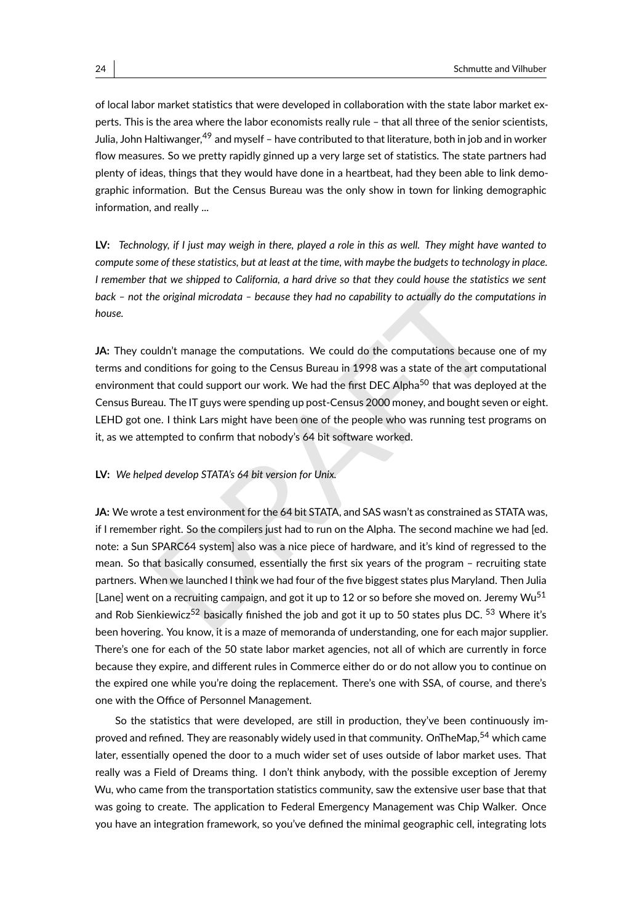of local labor market statistics that were developed in collaboration with the state labor market experts. This is the area where the labor economists really rule – that all three of the senior scientists, Julia, John Haltiwanger,<sup>[49](#page-41-27)</sup> and myself – have contributed to that literature, both in job and in worker flow measures. So we pretty rapidly ginned up a very large set of statistics. The state partners had plenty of ideas, things that they would have done in a heartbeat, had they been able to link demographic information. But the Census Bureau was the only show in town for linking demographic information, and really ...

**LV:** *Technology, if I just may weigh in there, played a role in this as well. They might have wanted to compute some of these statistics, but at least at the time, with maybe the budgets to technology in place. I remember that we shipped to California, a hard drive so that they could house the statistics we sent back – not the original microdata – because they had no capability to actually do the computations in house.*

**JA:** They couldn't manage the computations. We could do the computations because one of my terms and conditions for going to the Census Bureau in 1998 was a state of the art computational environment that could support our work. We had the first DEC Alpha<sup>50</sup> that was deployed at the Census Bureau. The IT guys were spending up post-Census 2000 money, and bought seven or eight. LEHD got one. I think Lars might have been one of the people who was running test programs on it, as we attempted to confirm that nobody's 64 bit software worked.

#### **LV:** *We helped develop STATA's 64 bit version for Unix.*

the original microdata – because they had no capability to actually do the computations is<br>
uldn't manage the computations. We could do the computations because one of m<br>
uldn't manage the computations. We could do the com **JA:** We wrote a test environment for the 64 bit STATA, and SAS wasn't as constrained as STATA was, if I remember right. So the compilers just had to run on the Alpha. The second machine we had [ed. note: a Sun SPARC64 system] also was a nice piece of hardware, and it's kind of regressed to the mean. So that basically consumed, essentially the first six years of the program – recruiting state partners. When we launched I think we had four of the five biggest states plus Maryland. Then Julia [Lane] went on a recruiting campaign, and got it up to 12 or so before she moved on. Jeremy Wu<sup>[51](#page-41-29)</sup> and Rob Sienkiewicz<sup>52</sup> basically finished the job and got it up to 50 states plus DC.  $53$  Where it's been hovering. You know, it is a maze of memoranda of understanding, one for each major supplier. There's one for each of the 50 state labor market agencies, not all of which are currently in force because they expire, and different rules in Commerce either do or do not allow you to continue on the expired one while you're doing the replacement. There's one with SSA, of course, and there's one with the Office of Personnel Management.

So the statistics that were developed, are still in production, they've been continuously im-proved and refined. They are reasonably widely used in that community. OnTheMap,<sup>[54](#page-42-1)</sup> which came later, essentially opened the door to a much wider set of uses outside of labor market uses. That really was a Field of Dreams thing. I don't think anybody, with the possible exception of Jeremy Wu, who came from the transportation statistics community, saw the extensive user base that that was going to create. The application to Federal Emergency Management was Chip Walker. Once you have an integration framework, so you've defined the minimal geographic cell, integrating lots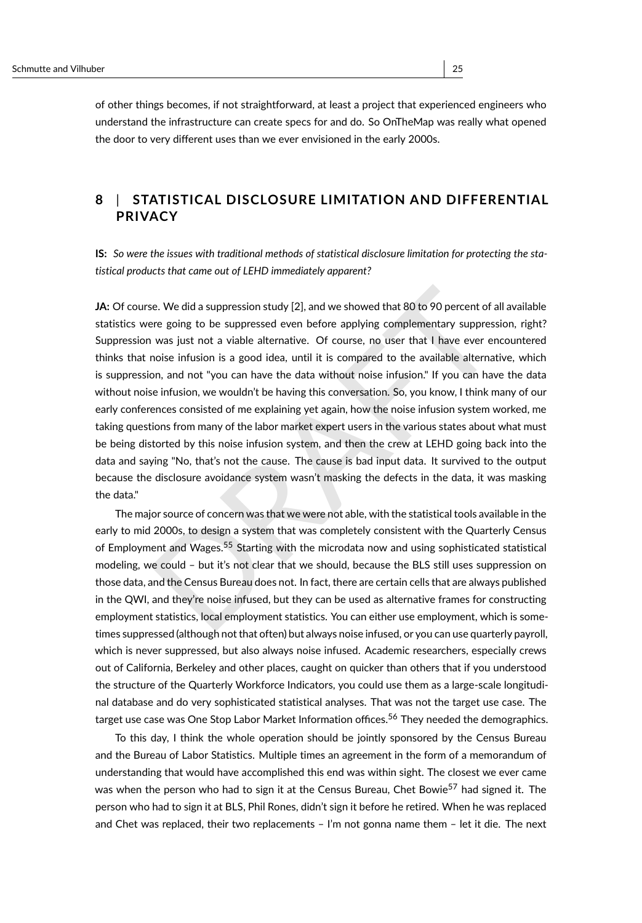of other things becomes, if not straightforward, at least a project that experienced engineers who understand the infrastructure can create specs for and do. So OnTheMap was really what opened the door to very different uses than we ever envisioned in the early 2000s.

### **8** | **STATISTICAL DISCLOSURE LIMITATION AND DIFFERENTIAL PRIVACY**

**IS:** *So were the issues with traditional methods of statistical disclosure limitation for protecting the statistical products that came out of LEHD immediately apparent?*

ie. We did a suppression study [2], and we showed that 80 to 90 percent of all available there going to be suppressed even before applying complementary suppression, right was just not a viable alternative. Of course, no u **JA:** Of course. We did a suppression study [2], and we showed that 80 to 90 percent of all available statistics were going to be suppressed even before applying complementary suppression, right? Suppression was just not a viable alternative. Of course, no user that I have ever encountered thinks that noise infusion is a good idea, until it is compared to the available alternative, which is suppression, and not "you can have the data without noise infusion." If you can have the data without noise infusion, we wouldn't be having this conversation. So, you know, I think many of our early conferences consisted of me explaining yet again, how the noise infusion system worked, me taking questions from many of the labor market expert users in the various states about what must be being distorted by this noise infusion system, and then the crew at LEHD going back into the data and saying "No, that's not the cause. The cause is bad input data. It survived to the output because the disclosure avoidance system wasn't masking the defects in the data, it was masking the data."

The major source of concern was that we were not able, with the statistical tools available in the early to mid 2000s, to design a system that was completely consistent with the Quarterly Census of Employment and Wages.<sup>55</sup> Starting with the microdata now and using sophisticated statistical modeling, we could – but it's not clear that we should, because the BLS still uses suppression on those data, and the Census Bureau does not. In fact, there are certain cells that are always published in the QWI, and they're noise infused, but they can be used as alternative frames for constructing employment statistics, local employment statistics. You can either use employment, which is sometimes suppressed (although not that often) but always noise infused, or you can use quarterly payroll, which is never suppressed, but also always noise infused. Academic researchers, especially crews out of California, Berkeley and other places, caught on quicker than others that if you understood the structure of the Quarterly Workforce Indicators, you could use them as a large-scale longitudinal database and do very sophisticated statistical analyses. That was not the target use case. The target use case was One Stop Labor Market Information offices.<sup>[56](#page-42-3)</sup> They needed the demographics.

To this day, I think the whole operation should be jointly sponsored by the Census Bureau and the Bureau of Labor Statistics. Multiple times an agreement in the form of a memorandum of understanding that would have accomplished this end was within sight. The closest we ever came was when the person who had to sign it at the Census Bureau, Chet Bowie<sup>[57](#page-42-4)</sup> had signed it. The person who had to sign it at BLS, Phil Rones, didn't sign it before he retired. When he was replaced and Chet was replaced, their two replacements – I'm not gonna name them – let it die. The next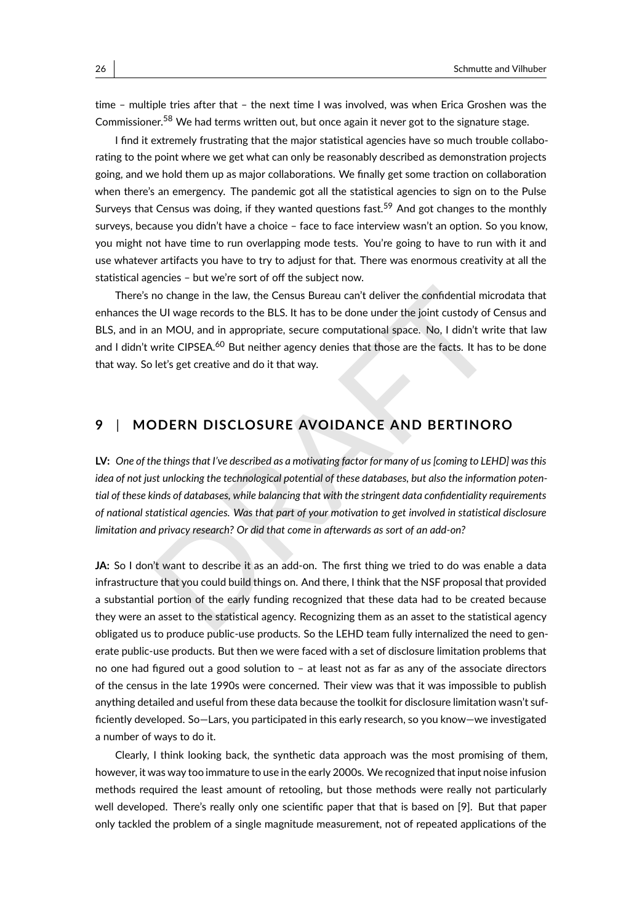time – multiple tries after that – the next time I was involved, was when Erica Groshen was the Commissioner.<sup>[58](#page-42-5)</sup> We had terms written out, but once again it never got to the signature stage.

I find it extremely frustrating that the major statistical agencies have so much trouble collaborating to the point where we get what can only be reasonably described as demonstration projects going, and we hold them up as major collaborations. We finally get some traction on collaboration when there's an emergency. The pandemic got all the statistical agencies to sign on to the Pulse Surveys that Census was doing, if they wanted questions fast.<sup>[59](#page-42-6)</sup> And got changes to the monthly surveys, because you didn't have a choice – face to face interview wasn't an option. So you know, you might not have time to run overlapping mode tests. You're going to have to run with it and use whatever artifacts you have to try to adjust for that. There was enormous creativity at all the statistical agencies – but we're sort of off the subject now.

no change in the law, the Census Bureau can't deliver the confidential microdata that e UI wage records to the BLS. It has to be done under the joint custody of Census an an MOU, and in appropriate, secure computational sp There's no change in the law, the Census Bureau can't deliver the confidential microdata that enhances the UI wage records to the BLS. It has to be done under the joint custody of Census and BLS, and in an MOU, and in appropriate, secure computational space. No, I didn't write that law and I didn't write CIPSEA.<sup>60</sup> But neither agency denies that those are the facts. It has to be done that way. So let's get creative and do it that way.

### **9** | **MODERN DISCLOSURE AVOIDANCE AND BERTINORO**

**LV:** *One of the things that I've described as a motivating factor for many of us [coming to LEHD] was this idea of not just unlocking the technological potential of these databases, but also the information potential of these kinds of databases, while balancing that with the stringent data confidentiality requirements of national statistical agencies. Was that part of your motivation to get involved in statistical disclosure limitation and privacy research? Or did that come in afterwards as sort of an add-on?*

**JA:** So I don't want to describe it as an add-on. The first thing we tried to do was enable a data infrastructure that you could build things on. And there, I think that the NSF proposal that provided a substantial portion of the early funding recognized that these data had to be created because they were an asset to the statistical agency. Recognizing them as an asset to the statistical agency obligated us to produce public-use products. So the LEHD team fully internalized the need to generate public-use products. But then we were faced with a set of disclosure limitation problems that no one had figured out a good solution to – at least not as far as any of the associate directors of the census in the late 1990s were concerned. Their view was that it was impossible to publish anything detailed and useful from these data because the toolkit for disclosure limitation wasn't sufficiently developed. So—Lars, you participated in this early research, so you know—we investigated a number of ways to do it.

Clearly, I think looking back, the synthetic data approach was the most promising of them, however, it was way too immature to use in the early 2000s. We recognized that input noise infusion methods required the least amount of retooling, but those methods were really not particularly well developed. There's really only one scientific paper that that is based on [\[9\]](#page-44-8). But that paper only tackled the problem of a single magnitude measurement, not of repeated applications of the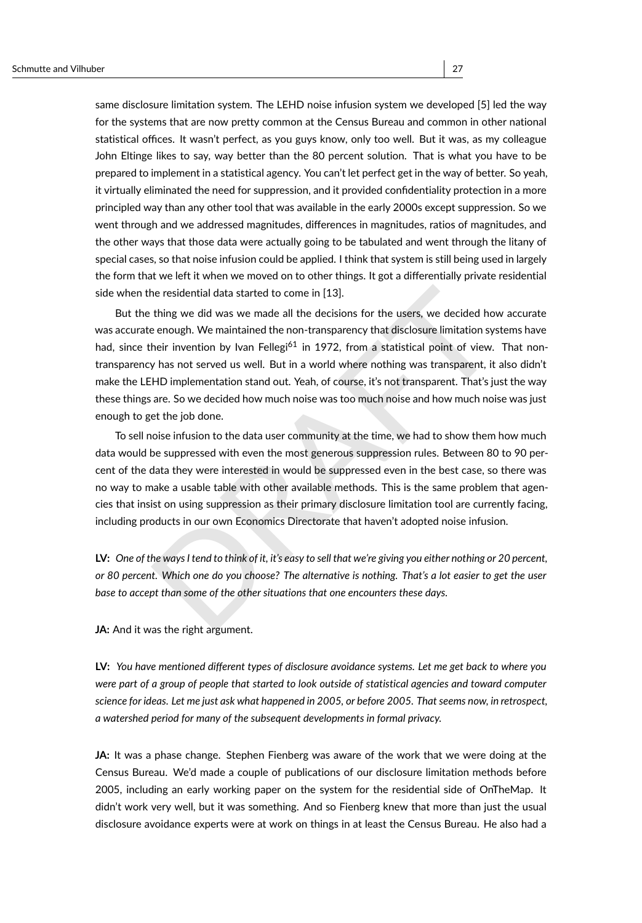same disclosure limitation system. The LEHD noise infusion system we developed [\[5\]](#page-44-9) led the way for the systems that are now pretty common at the Census Bureau and common in other national statistical offices. It wasn't perfect, as you guys know, only too well. But it was, as my colleague John Eltinge likes to say, way better than the 80 percent solution. That is what you have to be prepared to implement in a statistical agency. You can't let perfect get in the way of better. So yeah, it virtually eliminated the need for suppression, and it provided confidentiality protection in a more principled way than any other tool that was available in the early 2000s except suppression. So we went through and we addressed magnitudes, differences in magnitudes, ratios of magnitudes, and the other ways that those data were actually going to be tabulated and went through the litany of special cases, so that noise infusion could be applied. I think that system is still being used in largely the form that we left it when we moved on to other things. It got a differentially private residential side when the residential data started to come in [13].

ne residential data started to come in [13].<br>
thing we did was we made all the decisions for the users, we decided how accurat<br>
e enough. We maintained the non-transparency that disclosure limitation systems have<br>
heir inv But the thing we did was we made all the decisions for the users, we decided how accurate was accurate enough. We maintained the non-transparency that disclosure limitation systems have had, since their invention by Ivan Fellegi<sup>61</sup> in 1972, from a statistical point of view. That nontransparency has not served us well. But in a world where nothing was transparent, it also didn't make the LEHD implementation stand out. Yeah, of course, it's not transparent. That's just the way these things are. So we decided how much noise was too much noise and how much noise was just enough to get the job done.

To sell noise infusion to the data user community at the time, we had to show them how much data would be suppressed with even the most generous suppression rules. Between 80 to 90 percent of the data they were interested in would be suppressed even in the best case, so there was no way to make a usable table with other available methods. This is the same problem that agencies that insist on using suppression as their primary disclosure limitation tool are currently facing, including products in our own Economics Directorate that haven't adopted noise infusion.

**LV:** *One of the ways I tend to think of it, it's easy to sell that we're giving you either nothing or 20 percent, or 80 percent. Which one do you choose? The alternative is nothing. That's a lot easier to get the user base to accept than some of the other situations that one encounters these days.*

**JA:** And it was the right argument.

**LV:** *You have mentioned different types of disclosure avoidance systems. Let me get back to where you were part of a group of people that started to look outside of statistical agencies and toward computer science for ideas. Let me just ask what happened in 2005, or before 2005. That seems now, in retrospect, a watershed period for many of the subsequent developments in formal privacy.*

**JA:** It was a phase change. Stephen Fienberg was aware of the work that we were doing at the Census Bureau. We'd made a couple of publications of our disclosure limitation methods before 2005, including an early working paper on the system for the residential side of OnTheMap. It didn't work very well, but it was something. And so Fienberg knew that more than just the usual disclosure avoidance experts were at work on things in at least the Census Bureau. He also had a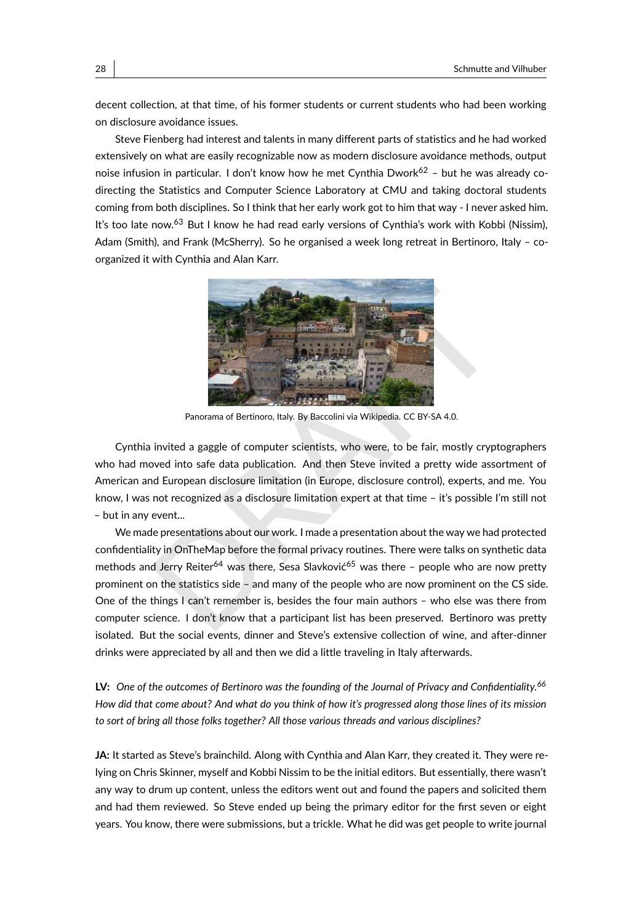decent collection, at that time, of his former students or current students who had been working on disclosure avoidance issues.

Steve Fienberg had interest and talents in many different parts of statistics and he had worked extensively on what are easily recognizable now as modern disclosure avoidance methods, output noise infusion in particular. I don't know how he met Cynthia Dwork<sup>[62](#page-42-9)</sup> – but he was already codirecting the Statistics and Computer Science Laboratory at CMU and taking doctoral students coming from both disciplines. So I think that her early work got to him that way - I never asked him. It's too late now.<sup>[63](#page-42-10)</sup> But I know he had read early versions of Cynthia's work with Kobbi (Nissim), Adam (Smith), and Frank (McSherry). So he organised a week long retreat in Bertinoro, Italy – coorganized it with Cynthia and Alan Karr.



Panorama of Bertinoro, Italy. By Baccolini via Wikipedia. CC BY-SA 4.0.

Cynthia invited a gaggle of computer scientists, who were, to be fair, mostly cryptographers who had moved into safe data publication. And then Steve invited a pretty wide assortment of American and European disclosure limitation (in Europe, disclosure control), experts, and me. You know, I was not recognized as a disclosure limitation expert at that time – it's possible I'm still not – but in any event...

**PROFILE AND SERVED ASSESSED ASSESSED AND AN ARCHA CONSUMING THE SERVED AND REPORT ON THE PROFILED A SURFACE CONSULTING A SURFACE CONSULTING A SURFACE CONSULTING A SURFACE ON THE SURFACE OF SALE (STEP AND A DISPONSIBLE THE** We made presentations about our work. I made a presentation about the way we had protected confidentiality in OnTheMap before the formal privacy routines. There were talks on synthetic data methods and Jerry Reiter<sup>64</sup> was there, Sesa Slavković<sup>65</sup> was there - people who are now pretty prominent on the statistics side – and many of the people who are now prominent on the CS side. One of the things I can't remember is, besides the four main authors – who else was there from computer science. I don't know that a participant list has been preserved. Bertinoro was pretty isolated. But the social events, dinner and Steve's extensive collection of wine, and after-dinner drinks were appreciated by all and then we did a little traveling in Italy afterwards.

**LV:** *One of the outcomes of Bertinoro was the founding of the Journal of Privacy and Confidentiality.[66](#page-42-13) How did that come about? And what do you think of how it's progressed along those lines of its mission to sort of bring all those folks together? All those various threads and various disciplines?*

**JA:** It started as Steve's brainchild. Along with Cynthia and Alan Karr, they created it. They were relying on Chris Skinner, myself and Kobbi Nissim to be the initial editors. But essentially, there wasn't any way to drum up content, unless the editors went out and found the papers and solicited them and had them reviewed. So Steve ended up being the primary editor for the first seven or eight years. You know, there were submissions, but a trickle. What he did was get people to write journal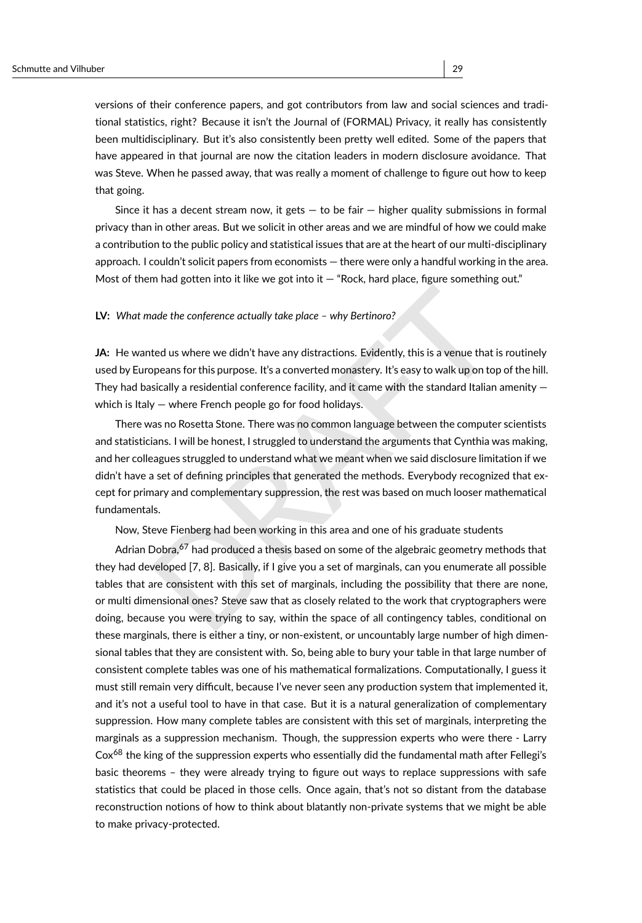versions of their conference papers, and got contributors from law and social sciences and traditional statistics, right? Because it isn't the Journal of (FORMAL) Privacy, it really has consistently been multidisciplinary. But it's also consistently been pretty well edited. Some of the papers that have appeared in that journal are now the citation leaders in modern disclosure avoidance. That was Steve. When he passed away, that was really a moment of challenge to figure out how to keep that going.

Since it has a decent stream now, it gets  $-$  to be fair  $-$  higher quality submissions in formal privacy than in other areas. But we solicit in other areas and we are mindful of how we could make a contribution to the public policy and statistical issues that are at the heart of our multi-disciplinary approach. I couldn't solicit papers from economists — there were only a handful working in the area. Most of them had gotten into it like we got into it  $-$  "Rock, hard place, figure something out."

#### **LV:** *What made the conference actually take place – why Bertinoro?*

**JA:** He wanted us where we didn't have any distractions. Evidently, this is a venue that is routinely used by Europeans for this purpose. It's a converted monastery. It's easy to walk up on top of the hill. They had basically a residential conference facility, and it came with the standard Italian amenity  $$ which is Italy — where French people go for food holidays.

ade the conference actually take place – why Bertinoro?<br>
ted us where we didn't have any distractions. Evidently, this is a venue that is routinel<br>
ppeans for this purpose. It's a converted monastery. It's easy to walk up There was no Rosetta Stone. There was no common language between the computer scientists and statisticians. I will be honest, I struggled to understand the arguments that Cynthia was making, and her colleagues struggled to understand what we meant when we said disclosure limitation if we didn't have a set of defining principles that generated the methods. Everybody recognized that except for primary and complementary suppression, the rest was based on much looser mathematical fundamentals.

Now, Steve Fienberg had been working in this area and one of his graduate students

Adrian Dobra,<sup>67</sup> had produced a thesis based on some of the algebraic geometry methods that they had developed [7, 8]. Basically, if I give you a set of marginals, can you enumerate all possible tables that are consistent with this set of marginals, including the possibility that there are none, or multi dimensional ones? Steve saw that as closely related to the work that cryptographers were doing, because you were trying to say, within the space of all contingency tables, conditional on these marginals, there is either a tiny, or non-existent, or uncountably large number of high dimensional tables that they are consistent with. So, being able to bury your table in that large number of consistent complete tables was one of his mathematical formalizations. Computationally, I guess it must still remain very difficult, because I've never seen any production system that implemented it, and it's not a useful tool to have in that case. But it is a natural generalization of complementary suppression. How many complete tables are consistent with this set of marginals, interpreting the marginals as a suppression mechanism. Though, the suppression experts who were there - Larry  $\text{Cox}^{68}$  $\text{Cox}^{68}$  $\text{Cox}^{68}$  the king of the suppression experts who essentially did the fundamental math after Fellegi's basic theorems – they were already trying to figure out ways to replace suppressions with safe statistics that could be placed in those cells. Once again, that's not so distant from the database reconstruction notions of how to think about blatantly non-private systems that we might be able to make privacy-protected.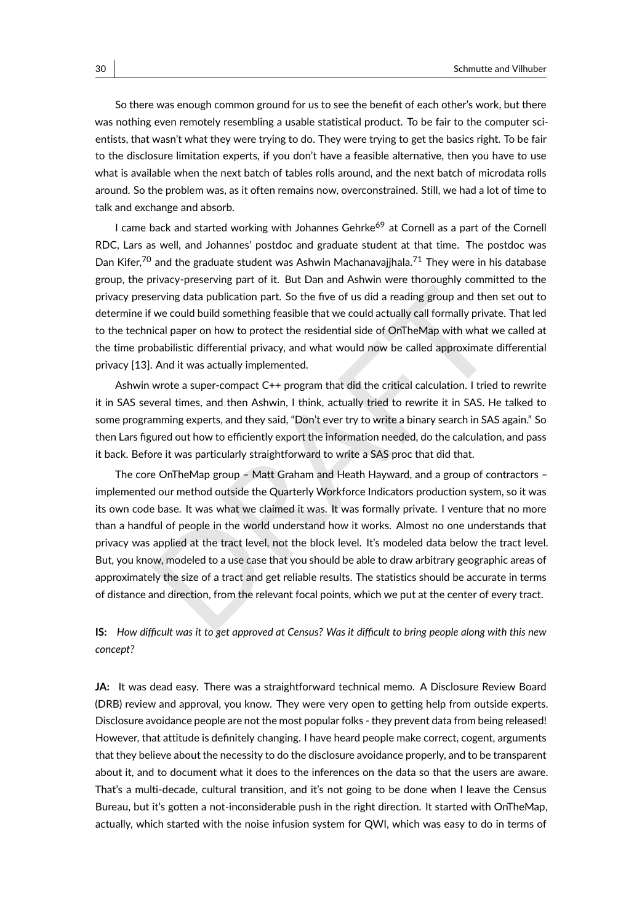So there was enough common ground for us to see the benefit of each other's work, but there was nothing even remotely resembling a usable statistical product. To be fair to the computer scientists, that wasn't what they were trying to do. They were trying to get the basics right. To be fair to the disclosure limitation experts, if you don't have a feasible alternative, then you have to use what is available when the next batch of tables rolls around, and the next batch of microdata rolls around. So the problem was, as it often remains now, overconstrained. Still, we had a lot of time to talk and exchange and absorb.

I came back and started working with Johannes Gehrke<sup>[69](#page-42-16)</sup> at Cornell as a part of the Cornell RDC, Lars as well, and Johannes' postdoc and graduate student at that time. The postdoc was Dan Kifer,<sup>[70](#page-42-17)</sup> and the graduate student was Ashwin Machanavajjhala.<sup>[71](#page-42-18)</sup> They were in his database group, the privacy-preserving part of it. But Dan and Ashwin were thoroughly committed to the privacy preserving data publication part. So the five of us did a reading group and then set out to determine if we could build something feasible that we could actually call formally private. That led to the technical paper on how to protect the residential side of OnTheMap with what we called at the time probabilistic differential privacy, and what would now be called approximate differential privacy [\[13\]](#page-44-10). And it was actually implemented.

Ashwin wrote a super-compact C++ program that did the critical calculation. I tried to rewrite it in SAS several times, and then Ashwin, I think, actually tried to rewrite it in SAS. He talked to some programming experts, and they said, "Don't ever try to write a binary search in SAS again." So then Lars figured out how to efficiently export the information needed, do the calculation, and pass it back. Before it was particularly straightforward to write a SAS proc that did that.

erving data publication part. So the five of us did a reading group and then set out the could build something feasible that we could actually call formally private. That lead paper on how to protect the residential side o The core OnTheMap group – Matt Graham and Heath Hayward, and a group of contractors – implemented our method outside the Quarterly Workforce Indicators production system, so it was its own code base. It was what we claimed it was. It was formally private. I venture that no more than a handful of people in the world understand how it works. Almost no one understands that privacy was applied at the tract level, not the block level. It's modeled data below the tract level. But, you know, modeled to a use case that you should be able to draw arbitrary geographic areas of approximately the size of a tract and get reliable results. The statistics should be accurate in terms of distance and direction, from the relevant focal points, which we put at the center of every tract.

#### **IS:** *How difficult was it to get approved at Census? Was it difficult to bring people along with this new concept?*

JA: It was dead easy. There was a straightforward technical memo. A Disclosure Review Board (DRB) review and approval, you know. They were very open to getting help from outside experts. Disclosure avoidance people are not the most popular folks - they prevent data from being released! However, that attitude is definitely changing. I have heard people make correct, cogent, arguments that they believe about the necessity to do the disclosure avoidance properly, and to be transparent about it, and to document what it does to the inferences on the data so that the users are aware. That's a multi-decade, cultural transition, and it's not going to be done when I leave the Census Bureau, but it's gotten a not-inconsiderable push in the right direction. It started with OnTheMap, actually, which started with the noise infusion system for QWI, which was easy to do in terms of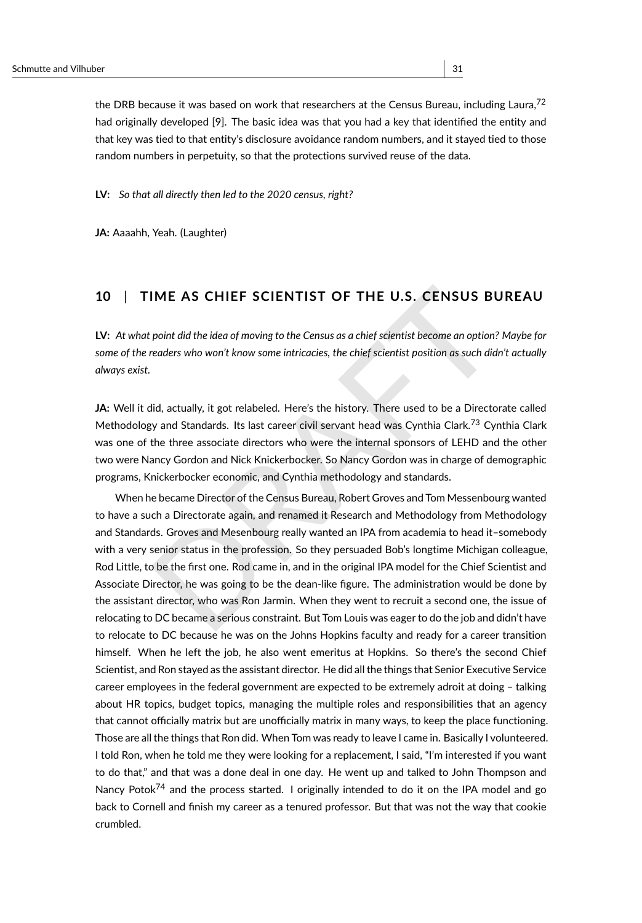the DRB because it was based on work that researchers at the Census Bureau. including Laura.<sup>[72](#page-42-19)</sup> had originally developed [\[9\]](#page-44-8). The basic idea was that you had a key that identified the entity and that key was tied to that entity's disclosure avoidance random numbers, and it stayed tied to those random numbers in perpetuity, so that the protections survived reuse of the data.

**LV:** *So that all directly then led to the 2020 census, right?*

**JA:** Aaaahh, Yeah. (Laughter)

### **10** | **TIME AS CHIEF SCIENTIST OF THE U.S. CENSUS BUREAU**

**LV:** *At what point did the idea of moving to the Census as a chief scientist become an option? Maybe for some of the readers who won't know some intricacies, the chief scientist position as such didn't actually always exist.*

**JA:** Well it did, actually, it got relabeled. Here's the history. There used to be a Directorate called Methodology and Standards. Its last career civil servant head was Cynthia Clark.<sup>73</sup> Cynthia Clark was one of the three associate directors who were the internal sponsors of LEHD and the other two were Nancy Gordon and Nick Knickerbocker. So Nancy Gordon was in charge of demographic programs, Knickerbocker economic, and Cynthia methodology and standards.

IME AS CHIEF SCIENTIST OF THE U.S. CENSUS BUREAU<br>point did the idea of moving to the Census as a chief scientist become an option? Maybe feeders who won't know some intricacies, the chief scientist position as such didn't When he became Director of the Census Bureau, Robert Groves and Tom Messenbourg wanted to have a such a Directorate again, and renamed it Research and Methodology from Methodology and Standards. Groves and Mesenbourg really wanted an IPA from academia to head it–somebody with a very senior status in the profession. So they persuaded Bob's longtime Michigan colleague, Rod Little, to be the first one. Rod came in, and in the original IPA model for the Chief Scientist and Associate Director, he was going to be the dean-like figure. The administration would be done by the assistant director, who was Ron Jarmin. When they went to recruit a second one, the issue of relocating to DC became a serious constraint. But Tom Louis was eager to do the job and didn't have to relocate to DC because he was on the Johns Hopkins faculty and ready for a career transition himself. When he left the job, he also went emeritus at Hopkins. So there's the second Chief Scientist, and Ron stayed as the assistant director. He did all the things that Senior Executive Service career employees in the federal government are expected to be extremely adroit at doing – talking about HR topics, budget topics, managing the multiple roles and responsibilities that an agency that cannot officially matrix but are unofficially matrix in many ways, to keep the place functioning. Those are all the things that Ron did. When Tom was ready to leave I came in. Basically I volunteered. I told Ron, when he told me they were looking for a replacement, I said, "I'm interested if you want to do that," and that was a done deal in one day. He went up and talked to John Thompson and Nancy Potok $^{74}$  $^{74}$  $^{74}$  and the process started. I originally intended to do it on the IPA model and go back to Cornell and finish my career as a tenured professor. But that was not the way that cookie crumbled.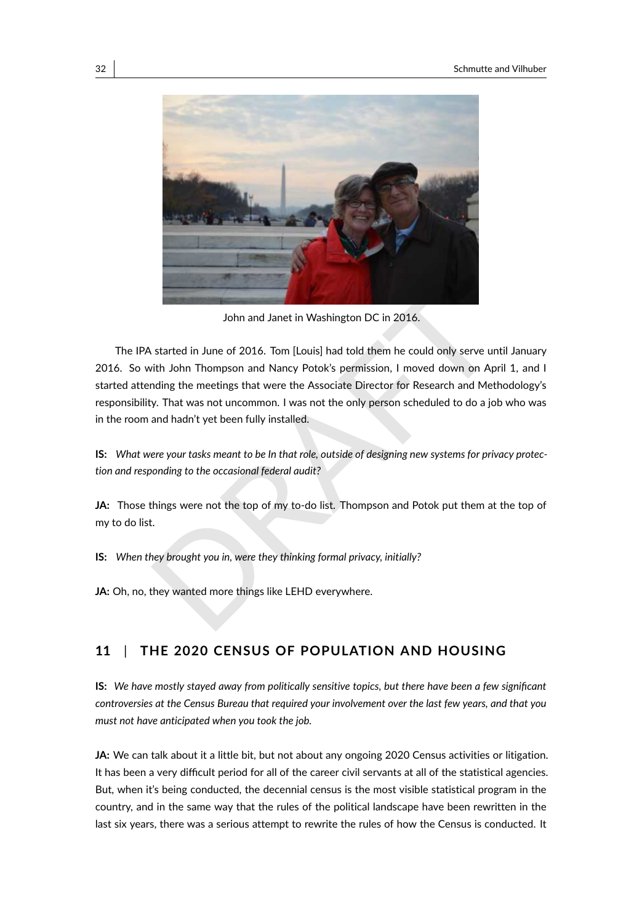

John and Janet in Washington DC in 2016.

John and Janet in Washington DC in 2016.<br>
started in June of 2016. Tom [Louis] had told them he could only serve until Januar<br>
ith John Thompson and Nancy Potok's permission, I moved down on April 1, and<br>
started in June o The IPA started in June of 2016. Tom [Louis] had told them he could only serve until January 2016. So with John Thompson and Nancy Potok's permission, I moved down on April 1, and I started attending the meetings that were the Associate Director for Research and Methodology's responsibility. That was not uncommon. I was not the only person scheduled to do a job who was in the room and hadn't yet been fully installed.

**IS:** *What were your tasks meant to be In that role, outside of designing new systems for privacy protection and responding to the occasional federal audit?*

**JA:** Those things were not the top of my to-do list. Thompson and Potok put them at the top of my to do list.

**IS:** *When they brought you in, were they thinking formal privacy, initially?*

**JA:** Oh, no, they wanted more things like LEHD everywhere.

### **11** | **THE 2020 CENSUS OF POPULATION AND HOUSING**

**IS:** *We have mostly stayed away from politically sensitive topics, but there have been a few significant controversies at the Census Bureau that required your involvement over the last few years, and that you must not have anticipated when you took the job.*

**JA:** We can talk about it a little bit, but not about any ongoing 2020 Census activities or litigation. It has been a very difficult period for all of the career civil servants at all of the statistical agencies. But, when it's being conducted, the decennial census is the most visible statistical program in the country, and in the same way that the rules of the political landscape have been rewritten in the last six years, there was a serious attempt to rewrite the rules of how the Census is conducted. It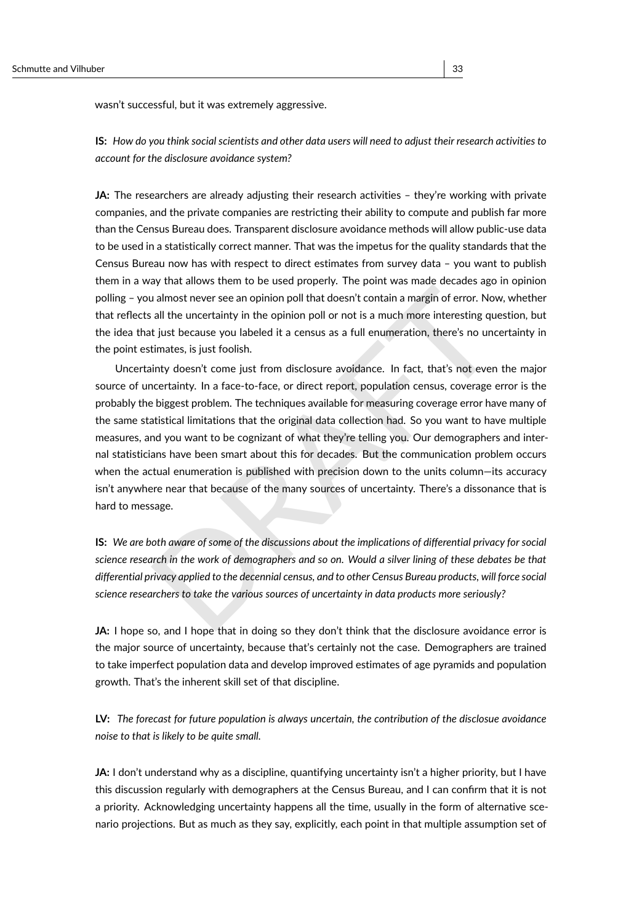wasn't successful, but it was extremely aggressive.

**IS:** *How do you think social scientists and other data users will need to adjust their research activities to account for the disclosure avoidance system?*

**JA:** The researchers are already adjusting their research activities - they're working with private companies, and the private companies are restricting their ability to compute and publish far more than the Census Bureau does. Transparent disclosure avoidance methods will allow public-use data to be used in a statistically correct manner. That was the impetus for the quality standards that the Census Bureau now has with respect to direct estimates from survey data – you want to publish them in a way that allows them to be used properly. The point was made decades ago in opinion polling – you almost never see an opinion poll that doesn't contain a margin of error. Now, whether that reflects all the uncertainty in the opinion poll or not is a much more interesting question, but the idea that just because you labeled it a census as a full enumeration, there's no uncertainty in the point estimates, is just foolish.

almost never see an opinion poll that doesn't contain a margin of error. Now, whether<br>all the uncertainty in the opinion poll or not is a much more interesting question, but<br>it is the transienty of the opinion poll or not Uncertainty doesn't come just from disclosure avoidance. In fact, that's not even the major source of uncertainty. In a face-to-face, or direct report, population census, coverage error is the probably the biggest problem. The techniques available for measuring coverage error have many of the same statistical limitations that the original data collection had. So you want to have multiple measures, and you want to be cognizant of what they're telling you. Our demographers and internal statisticians have been smart about this for decades. But the communication problem occurs when the actual enumeration is published with precision down to the units column—its accuracy isn't anywhere near that because of the many sources of uncertainty. There's a dissonance that is hard to message.

**IS:** *We are both aware of some of the discussions about the implications of differential privacy for social science research in the work of demographers and so on. Would a silver lining of these debates be that differential privacy applied to the decennial census, and to other Census Bureau products, will force social science researchers to take the various sources of uncertainty in data products more seriously?*

**JA:** I hope so, and I hope that in doing so they don't think that the disclosure avoidance error is the major source of uncertainty, because that's certainly not the case. Demographers are trained to take imperfect population data and develop improved estimates of age pyramids and population growth. That's the inherent skill set of that discipline.

**LV:** *The forecast for future population is always uncertain, the contribution of the disclosue avoidance noise to that is likely to be quite small.*

**JA:** I don't understand why as a discipline, quantifying uncertainty isn't a higher priority, but I have this discussion regularly with demographers at the Census Bureau, and I can confirm that it is not a priority. Acknowledging uncertainty happens all the time, usually in the form of alternative scenario projections. But as much as they say, explicitly, each point in that multiple assumption set of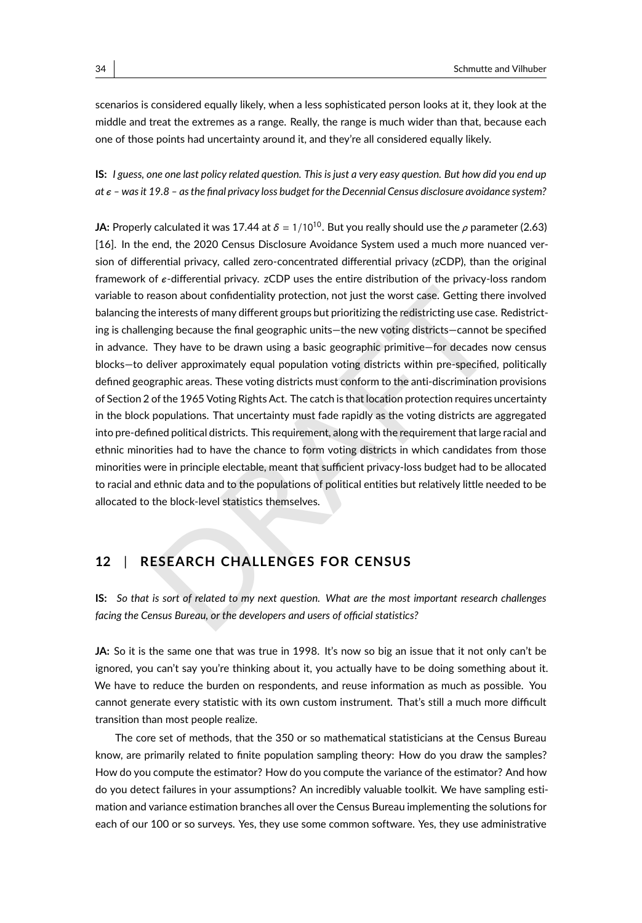scenarios is considered equally likely, when a less sophisticated person looks at it, they look at the middle and treat the extremes as a range. Really, the range is much wider than that, because each one of those points had uncertainty around it, and they're all considered equally likely.

**IS:** *I guess, one one last policy related question. This is just a very easy question. But how did you end up at – was it 19.8 – as the final privacy loss budget for the Decennial Census disclosure avoidance system?*

eason about confidentiality protection, not just the worst case. Getting there involve<br>einterests of many different groups but prioritizing the redistricting use case. Redistric<br>ging because the final geographic units—the **JA:** Properly calculated it was 17.44 at  $\delta$  = 1/10<sup>10</sup>. But you really should use the  $\rho$  parameter (2.63) [\[16\]](#page-45-0). In the end, the 2020 Census Disclosure Avoidance System used a much more nuanced version of differential privacy, called zero-concentrated differential privacy (zCDP), than the original framework of -differential privacy. zCDP uses the entire distribution of the privacy-loss random variable to reason about confidentiality protection, not just the worst case. Getting there involved balancing the interests of many different groups but prioritizing the redistricting use case. Redistricting is challenging because the final geographic units—the new voting districts—cannot be specified in advance. They have to be drawn using a basic geographic primitive—for decades now census blocks—to deliver approximately equal population voting districts within pre-specified, politically defined geographic areas. These voting districts must conform to the anti-discrimination provisions of Section 2 of the 1965 Voting Rights Act. The catch is that location protection requires uncertainty in the block populations. That uncertainty must fade rapidly as the voting districts are aggregated into pre-defined political districts. This requirement, along with the requirement that large racial and ethnic minorities had to have the chance to form voting districts in which candidates from those minorities were in principle electable, meant that sufficient privacy-loss budget had to be allocated to racial and ethnic data and to the populations of political entities but relatively little needed to be allocated to the block-level statistics themselves.

### **12** | **RESEARCH CHALLENGES FOR CENSUS**

**IS:** *So that is sort of related to my next question. What are the most important research challenges facing the Census Bureau, or the developers and users of official statistics?*

**JA:** So it is the same one that was true in 1998. It's now so big an issue that it not only can't be ignored, you can't say you're thinking about it, you actually have to be doing something about it. We have to reduce the burden on respondents, and reuse information as much as possible. You cannot generate every statistic with its own custom instrument. That's still a much more difficult transition than most people realize.

The core set of methods, that the 350 or so mathematical statisticians at the Census Bureau know, are primarily related to finite population sampling theory: How do you draw the samples? How do you compute the estimator? How do you compute the variance of the estimator? And how do you detect failures in your assumptions? An incredibly valuable toolkit. We have sampling estimation and variance estimation branches all over the Census Bureau implementing the solutions for each of our 100 or so surveys. Yes, they use some common software. Yes, they use administrative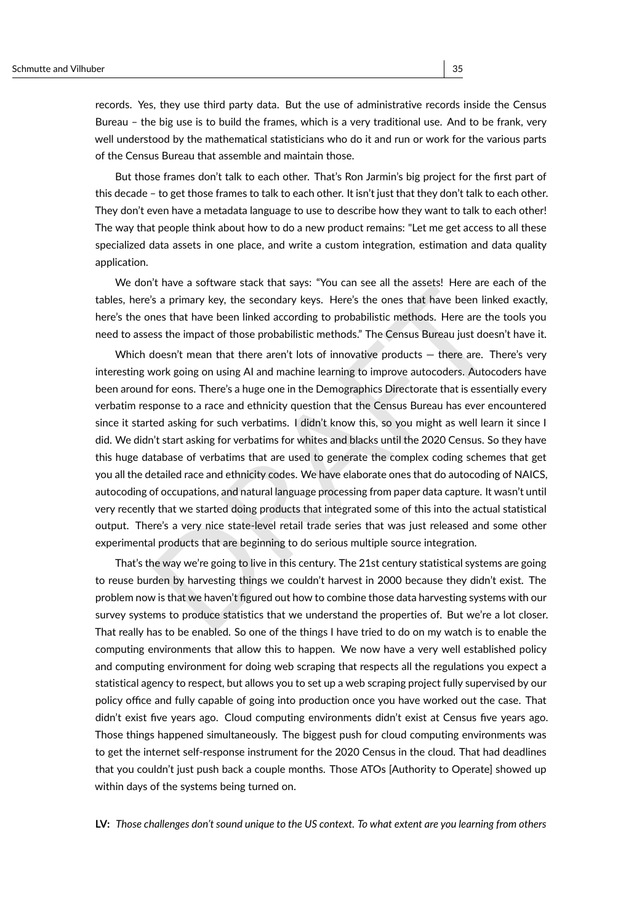records. Yes, they use third party data. But the use of administrative records inside the Census Bureau – the big use is to build the frames, which is a very traditional use. And to be frank, very well understood by the mathematical statisticians who do it and run or work for the various parts of the Census Bureau that assemble and maintain those.

But those frames don't talk to each other. That's Ron Jarmin's big project for the first part of this decade – to get those frames to talk to each other. It isn't just that they don't talk to each other. They don't even have a metadata language to use to describe how they want to talk to each other! The way that people think about how to do a new product remains: "Let me get access to all these specialized data assets in one place, and write a custom integration, estimation and data quality application.

We don't have a software stack that says: "You can see all the assets! Here are each of the tables, here's a primary key, the secondary keys. Here's the ones that have been linked exactly, here's the ones that have been linked according to probabilistic methods. Here are the tools you need to assess the impact of those probabilistic methods." The Census Bureau just doesn't have it.

In the accuration and the secondary levy. The eres are the unit with the properties of. The secondary key, the secondary keys. Here's the ones that have been linked exactle the systs the impact of those probabilistic metho Which doesn't mean that there aren't lots of innovative products — there are. There's very interesting work going on using AI and machine learning to improve autocoders. Autocoders have been around for eons. There's a huge one in the Demographics Directorate that is essentially every verbatim response to a race and ethnicity question that the Census Bureau has ever encountered since it started asking for such verbatims. I didn't know this, so you might as well learn it since I did. We didn't start asking for verbatims for whites and blacks until the 2020 Census. So they have this huge database of verbatims that are used to generate the complex coding schemes that get you all the detailed race and ethnicity codes. We have elaborate ones that do autocoding of NAICS, autocoding of occupations, and natural language processing from paper data capture. It wasn't until very recently that we started doing products that integrated some of this into the actual statistical output. There's a very nice state-level retail trade series that was just released and some other experimental products that are beginning to do serious multiple source integration.

That's the way we're going to live in this century. The 21st century statistical systems are going to reuse burden by harvesting things we couldn't harvest in 2000 because they didn't exist. The problem now is that we haven't figured out how to combine those data harvesting systems with our survey systems to produce statistics that we understand the properties of. But we're a lot closer. That really has to be enabled. So one of the things I have tried to do on my watch is to enable the computing environments that allow this to happen. We now have a very well established policy and computing environment for doing web scraping that respects all the regulations you expect a statistical agency to respect, but allows you to set up a web scraping project fully supervised by our policy office and fully capable of going into production once you have worked out the case. That didn't exist five years ago. Cloud computing environments didn't exist at Census five years ago. Those things happened simultaneously. The biggest push for cloud computing environments was to get the internet self-response instrument for the 2020 Census in the cloud. That had deadlines that you couldn't just push back a couple months. Those ATOs [Authority to Operate] showed up within days of the systems being turned on.

**LV:** *Those challenges don't sound unique to the US context. To what extent are you learning from others*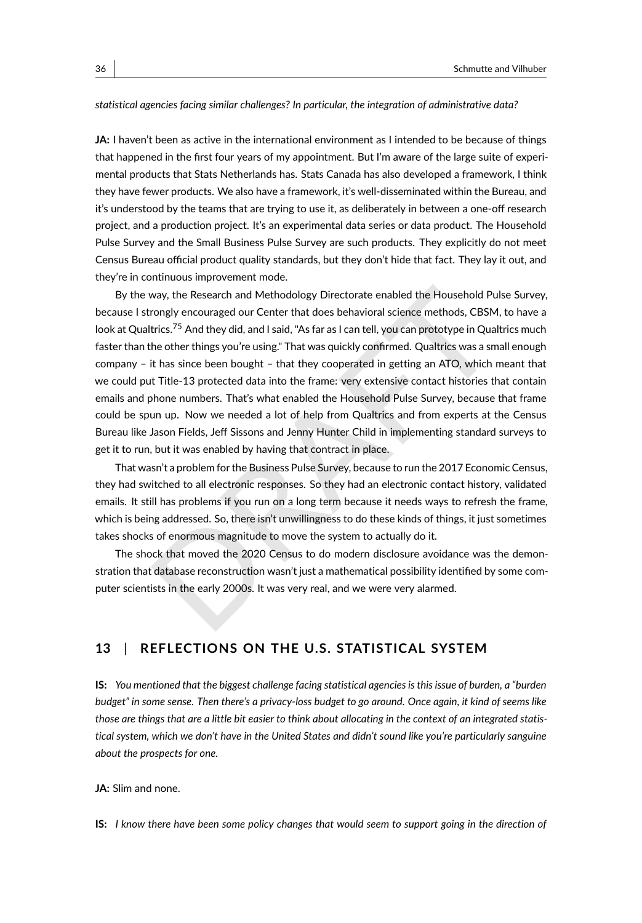#### *statistical agencies facing similar challenges? In particular, the integration of administrative data?*

**JA:** I haven't been as active in the international environment as I intended to be because of things that happened in the first four years of my appointment. But I'm aware of the large suite of experimental products that Stats Netherlands has. Stats Canada has also developed a framework, I think they have fewer products. We also have a framework, it's well-disseminated within the Bureau, and it's understood by the teams that are trying to use it, as deliberately in between a one-off research project, and a production project. It's an experimental data series or data product. The Household Pulse Survey and the Small Business Pulse Survey are such products. They explicitly do not meet Census Bureau official product quality standards, but they don't hide that fact. They lay it out, and they're in continuous improvement mode.

way, the Research and Methodology Directorate enabled the Household Pulse Surverongly encouraged our Center that does behavioral science methods, CBSM, to have trics.<sup>75</sup> And they did, and I said, "As far as I can tell, yo By the way, the Research and Methodology Directorate enabled the Household Pulse Survey, because I strongly encouraged our Center that does behavioral science methods, CBSM, to have a look at Qualtrics.<sup>75</sup> And they did, and I said, "As far as I can tell, you can prototype in Qualtrics much faster than the other things you're using." That was quickly confirmed. Qualtrics was a small enough company – it has since been bought – that they cooperated in getting an ATO, which meant that we could put Title-13 protected data into the frame: very extensive contact histories that contain emails and phone numbers. That's what enabled the Household Pulse Survey, because that frame could be spun up. Now we needed a lot of help from Qualtrics and from experts at the Census Bureau like Jason Fields, Jeff Sissons and Jenny Hunter Child in implementing standard surveys to get it to run, but it was enabled by having that contract in place.

That wasn't a problem for the Business Pulse Survey, because to run the 2017 Economic Census, they had switched to all electronic responses. So they had an electronic contact history, validated emails. It still has problems if you run on a long term because it needs ways to refresh the frame, which is being addressed. So, there isn't unwillingness to do these kinds of things, it just sometimes takes shocks of enormous magnitude to move the system to actually do it.

The shock that moved the 2020 Census to do modern disclosure avoidance was the demonstration that database reconstruction wasn't just a mathematical possibility identified by some computer scientists in the early 2000s. It was very real, and we were very alarmed.

#### **13** | **REFLECTIONS ON THE U.S. STATISTICAL SYSTEM**

**IS:** *You mentioned that the biggest challenge facing statistical agencies is this issue of burden, a "burden budget" in some sense. Then there's a privacy-loss budget to go around. Once again, it kind of seems like those are things that are a little bit easier to think about allocating in the context of an integrated statistical system, which we don't have in the United States and didn't sound like you're particularly sanguine about the prospects for one.*

#### **JA:** Slim and none.

**IS:** *I know there have been some policy changes that would seem to support going in the direction of*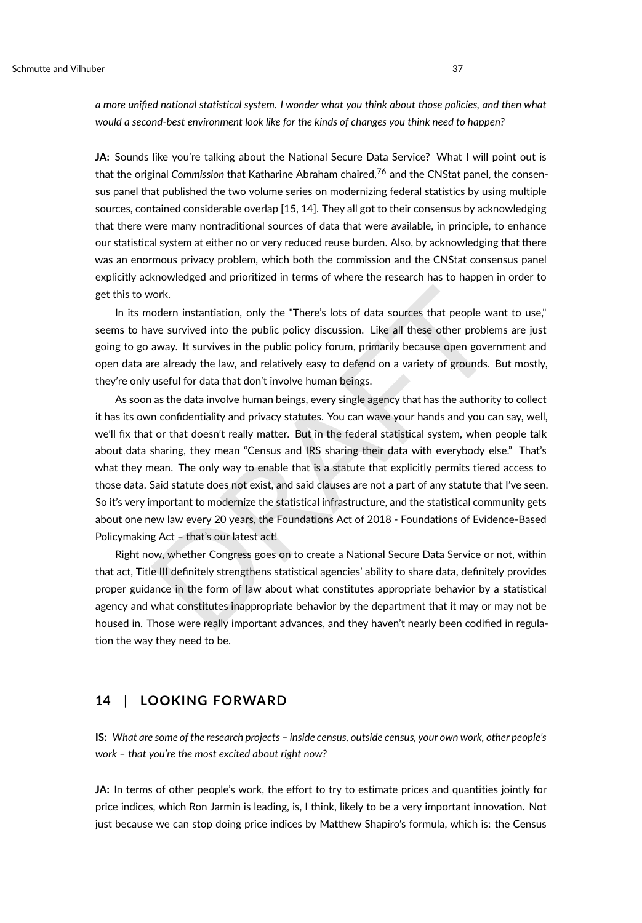*a more unified national statistical system. I wonder what you think about those policies, and then what would a second-best environment look like for the kinds of changes you think need to happen?*

**JA:** Sounds like you're talking about the National Secure Data Service? What I will point out is that the original *Commission* that Katharine Abraham chaired,[76](#page-43-1) and the CNStat panel, the consensus panel that published the two volume series on modernizing federal statistics by using multiple sources, contained considerable overlap [\[15,](#page-45-1) [14\]](#page-45-2). They all got to their consensus by acknowledging that there were many nontraditional sources of data that were available, in principle, to enhance our statistical system at either no or very reduced reuse burden. Also, by acknowledging that there was an enormous privacy problem, which both the commission and the CNStat consensus panel explicitly acknowledged and prioritized in terms of where the research has to happen in order to get this to work.

In its modern instantiation, only the "There's lots of data sources that people want to use," seems to have survived into the public policy discussion. Like all these other problems are just going to go away. It survives in the public policy forum, primarily because open government and open data are already the law, and relatively easy to defend on a variety of grounds. But mostly, they're only useful for data that don't involve human beings.

ork.<br>
ordern instantiation, only the "There's lots of data sources that people want to use<br>
we survived into the public policy discussion. Like all these other problems are jus<br>
away. It survives in the public policy forum As soon as the data involve human beings, every single agency that has the authority to collect it has its own confidentiality and privacy statutes. You can wave your hands and you can say, well, we'll fix that or that doesn't really matter. But in the federal statistical system, when people talk about data sharing, they mean "Census and IRS sharing their data with everybody else." That's what they mean. The only way to enable that is a statute that explicitly permits tiered access to those data. Said statute does not exist, and said clauses are not a part of any statute that I've seen. So it's very important to modernize the statistical infrastructure, and the statistical community gets about one new law every 20 years, the Foundations Act of 2018 - Foundations of Evidence-Based Policymaking Act – that's our latest act!

Right now, whether Congress goes on to create a National Secure Data Service or not, within that act, Title III definitely strengthens statistical agencies' ability to share data, definitely provides proper guidance in the form of law about what constitutes appropriate behavior by a statistical agency and what constitutes inappropriate behavior by the department that it may or may not be housed in. Those were really important advances, and they haven't nearly been codified in regulation the way they need to be.

#### **14** | **LOOKING FORWARD**

**IS:** *What are some of the research projects – inside census, outside census, your own work, other people's work – that you're the most excited about right now?*

**JA:** In terms of other people's work, the effort to try to estimate prices and quantities jointly for price indices, which Ron Jarmin is leading, is, I think, likely to be a very important innovation. Not just because we can stop doing price indices by Matthew Shapiro's formula, which is: the Census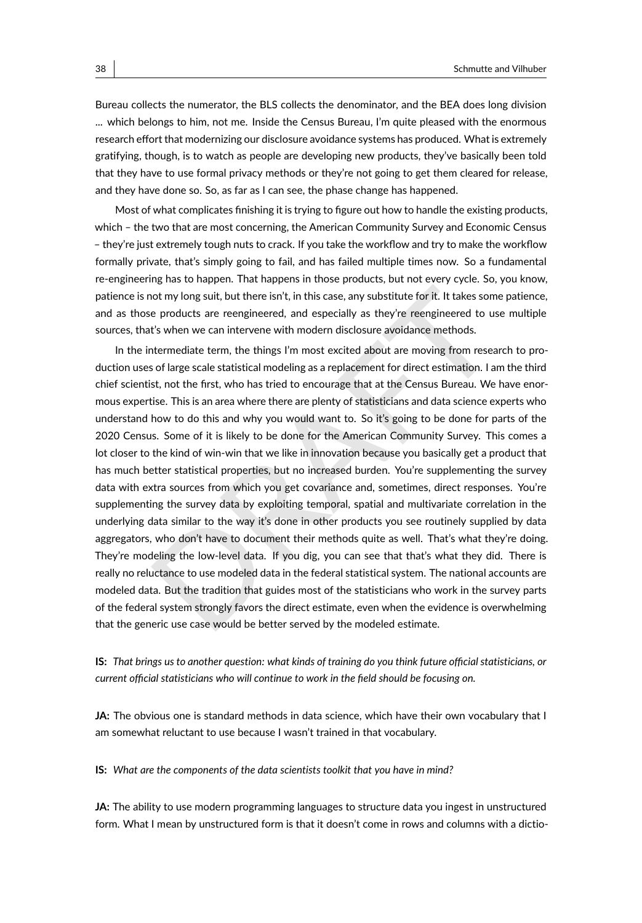Bureau collects the numerator, the BLS collects the denominator, and the BEA does long division ... which belongs to him, not me. Inside the Census Bureau, I'm quite pleased with the enormous research effort that modernizing our disclosure avoidance systems has produced. What is extremely gratifying, though, is to watch as people are developing new products, they've basically been told that they have to use formal privacy methods or they're not going to get them cleared for release, and they have done so. So, as far as I can see, the phase change has happened.

Most of what complicates finishing it is trying to figure out how to handle the existing products, which – the two that are most concerning, the American Community Survey and Economic Census – they're just extremely tough nuts to crack. If you take the workflow and try to make the workflow formally private, that's simply going to fail, and has failed multiple times now. So a fundamental re-engineering has to happen. That happens in those products, but not every cycle. So, you know, patience is not my long suit, but there isn't, in this case, any substitute for it. It takes some patience, and as those products are reengineered, and especially as they're reengineered to use multiple sources, that's when we can intervene with modern disclosure avoidance methods.

not my long suit, but there isn't, in this case, any substitute for it. It takes some patience products are reengineered, and especially as they're reengineered to use multipl's when we can intervene with modern disclosure In the intermediate term, the things I'm most excited about are moving from research to production uses of large scale statistical modeling as a replacement for direct estimation. I am the third chief scientist, not the first, who has tried to encourage that at the Census Bureau. We have enormous expertise. This is an area where there are plenty of statisticians and data science experts who understand how to do this and why you would want to. So it's going to be done for parts of the 2020 Census. Some of it is likely to be done for the American Community Survey. This comes a lot closer to the kind of win-win that we like in innovation because you basically get a product that has much better statistical properties, but no increased burden. You're supplementing the survey data with extra sources from which you get covariance and, sometimes, direct responses. You're supplementing the survey data by exploiting temporal, spatial and multivariate correlation in the underlying data similar to the way it's done in other products you see routinely supplied by data aggregators, who don't have to document their methods quite as well. That's what they're doing. They're modeling the low-level data. If you dig, you can see that that's what they did. There is really no reluctance to use modeled data in the federal statistical system. The national accounts are modeled data. But the tradition that guides most of the statisticians who work in the survey parts of the federal system strongly favors the direct estimate, even when the evidence is overwhelming that the generic use case would be better served by the modeled estimate.

**IS:** *That brings us to another question: what kinds of training do you think future official statisticians, or current official statisticians who will continue to work in the field should be focusing on.*

**JA:** The obvious one is standard methods in data science, which have their own vocabulary that I am somewhat reluctant to use because I wasn't trained in that vocabulary.

**IS:** *What are the components of the data scientists toolkit that you have in mind?*

**JA:** The ability to use modern programming languages to structure data you ingest in unstructured form. What I mean by unstructured form is that it doesn't come in rows and columns with a dictio-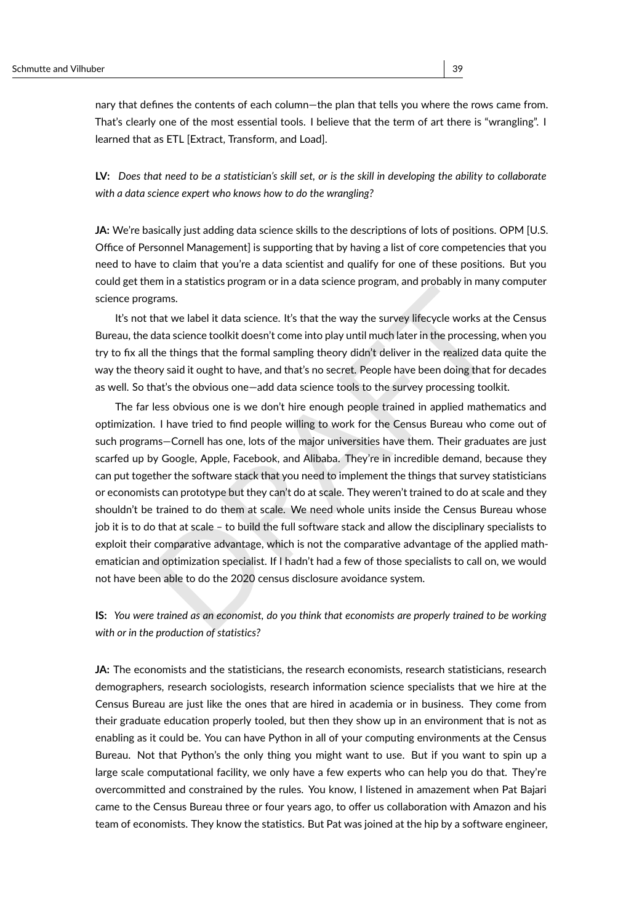nary that defines the contents of each column—the plan that tells you where the rows came from. That's clearly one of the most essential tools. I believe that the term of art there is "wrangling". I learned that as ETL [Extract, Transform, and Load].

**LV:** *Does that need to be a statistician's skill set, or is the skill in developing the ability to collaborate with a data science expert who knows how to do the wrangling?*

**JA:** We're basically just adding data science skills to the descriptions of lots of positions. OPM [U.S. Office of Personnel Management] is supporting that by having a list of core competencies that you need to have to claim that you're a data scientist and qualify for one of these positions. But you could get them in a statistics program or in a data science program, and probably in many computer science programs.

It's not that we label it data science. It's that the way the survey lifecycle works at the Census Bureau, the data science toolkit doesn't come into play until much later in the processing, when you try to fix all the things that the formal sampling theory didn't deliver in the realized data quite the way the theory said it ought to have, and that's no secret. People have been doing that for decades as well. So that's the obvious one—add data science tools to the survey processing toolkit.

Frames.<br>
Hat we label it data science. It's that the way the survey lifecycle works at the Census<br>
Hat we label it data science tolkit doesn't come into play until much later in the processing, when yo<br>
the things that the The far less obvious one is we don't hire enough people trained in applied mathematics and optimization. I have tried to find people willing to work for the Census Bureau who come out of such programs—Cornell has one, lots of the major universities have them. Their graduates are just scarfed up by Google, Apple, Facebook, and Alibaba. They're in incredible demand, because they can put together the software stack that you need to implement the things that survey statisticians or economists can prototype but they can't do at scale. They weren't trained to do at scale and they shouldn't be trained to do them at scale. We need whole units inside the Census Bureau whose job it is to do that at scale – to build the full software stack and allow the disciplinary specialists to exploit their comparative advantage, which is not the comparative advantage of the applied mathematician and optimization specialist. If I hadn't had a few of those specialists to call on, we would not have been able to do the 2020 census disclosure avoidance system.

**IS:** *You were trained as an economist, do you think that economists are properly trained to be working with or in the production of statistics?*

**JA:** The economists and the statisticians, the research economists, research statisticians, research demographers, research sociologists, research information science specialists that we hire at the Census Bureau are just like the ones that are hired in academia or in business. They come from their graduate education properly tooled, but then they show up in an environment that is not as enabling as it could be. You can have Python in all of your computing environments at the Census Bureau. Not that Python's the only thing you might want to use. But if you want to spin up a large scale computational facility, we only have a few experts who can help you do that. They're overcommitted and constrained by the rules. You know, I listened in amazement when Pat Bajari came to the Census Bureau three or four years ago, to offer us collaboration with Amazon and his team of economists. They know the statistics. But Pat was joined at the hip by a software engineer,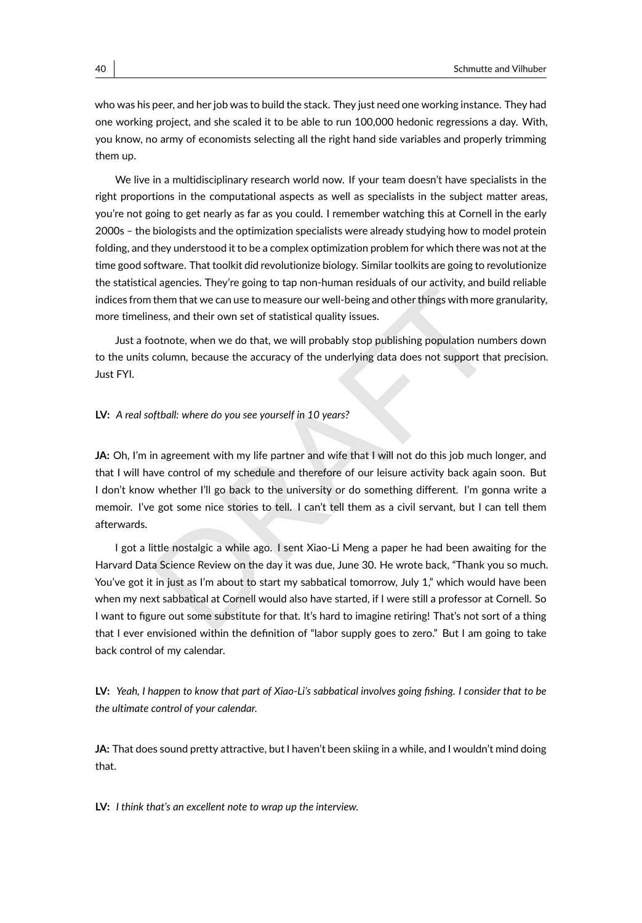who was his peer, and her job was to build the stack. They just need one working instance. They had one working project, and she scaled it to be able to run 100,000 hedonic regressions a day. With, you know, no army of economists selecting all the right hand side variables and properly trimming them up.

We live in a multidisciplinary research world now. If your team doesn't have specialists in the right proportions in the computational aspects as well as specialists in the subject matter areas, you're not going to get nearly as far as you could. I remember watching this at Cornell in the early 2000s – the biologists and the optimization specialists were already studying how to model protein folding, and they understood it to be a complex optimization problem for which there was not at the time good software. That toolkit did revolutionize biology. Similar toolkits are going to revolutionize the statistical agencies. They're going to tap non-human residuals of our activity, and build reliable indices from them that we can use to measure our well-being and other things with more granularity, more timeliness, and their own set of statistical quality issues.

Just a footnote, when we do that, we will probably stop publishing population numbers down to the units column, because the accuracy of the underlying data does not support that precision. Just FYI.

#### **LV:** *A real softball: where do you see yourself in 10 years?*

**JA:** Oh, I'm in agreement with my life partner and wife that I will not do this job much longer, and that I will have control of my schedule and therefore of our leisure activity back again soon. But I don't know whether I'll go back to the university or do something different. I'm gonna write a memoir. I've got some nice stories to tell. I can't tell them as a civil servant, but I can tell them afterwards.

and them that we can use to measure our well-being and other things with more granularity them that we can use to measure our well-being and other things with more granularity hess, and their own set of statistical quality I got a little nostalgic a while ago. I sent Xiao-Li Meng a paper he had been awaiting for the Harvard Data Science Review on the day it was due, June 30. He wrote back, "Thank you so much. You've got it in just as I'm about to start my sabbatical tomorrow, July 1," which would have been when my next sabbatical at Cornell would also have started, if I were still a professor at Cornell. So I want to figure out some substitute for that. It's hard to imagine retiring! That's not sort of a thing that I ever envisioned within the definition of "labor supply goes to zero." But I am going to take back control of my calendar.

**LV:** *Yeah, I happen to know that part of Xiao-Li's sabbatical involves going fishing. I consider that to be the ultimate control of your calendar.*

**JA:** That does sound pretty attractive, but I haven't been skiing in a while, and I wouldn't mind doing that.

**LV:** *I think that's an excellent note to wrap up the interview.*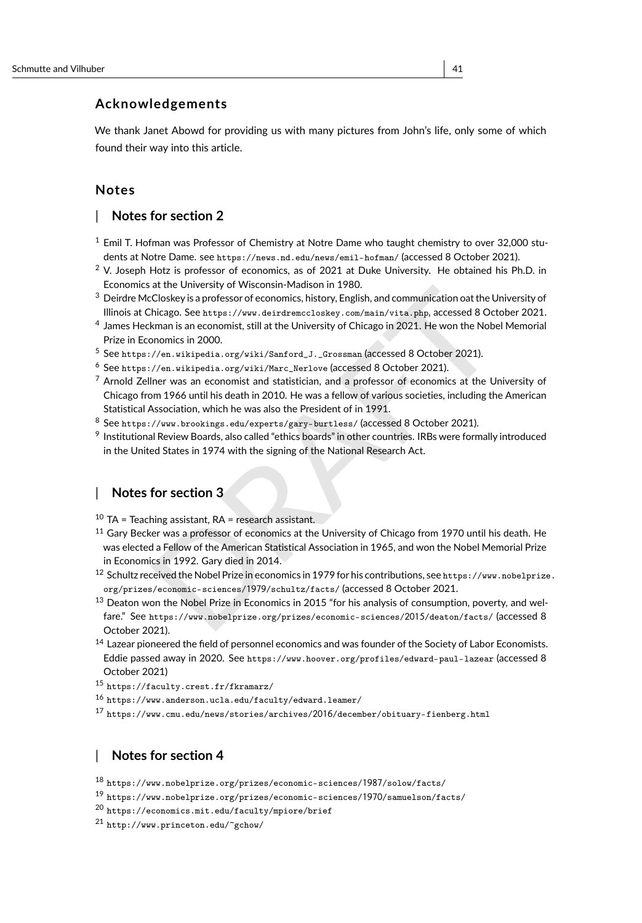### **Acknowledgements**

We thank Janet Abowd for providing us with many pictures from John's life, only some of which found their way into this article.

#### **Notes**

#### | **Notes for section 2**

- <span id="page-40-0"></span> $1$  Emil T. Hofman was Professor of Chemistry at Notre Dame who taught chemistry to over 32,000 students at Notre Dame. see <https://news.nd.edu/news/emil-hofman/> (accessed 8 October 2021).
- <span id="page-40-1"></span> $2$  V. Joseph Hotz is professor of economics, as of 2021 at Duke University. He obtained his Ph.D. in Economics at the University of Wisconsin-Madison in 1980.
- <span id="page-40-2"></span><sup>3</sup> Deirdre McCloskey is a professor of economics, history, English, and communication oat the University of Illinois at Chicago. See https://www.deirdremccloskey.com/main/vita.php, accessed 8 October 2021.
- <span id="page-40-3"></span>4 James Heckman is an economist, still at the University of Chicago in 2021. He won the Nobel Memorial Prize in Economics in 2000.
- <span id="page-40-4"></span><sup>5</sup> See https://en.wikipedia.org/wiki/Sanford\_J.\_Grossman (accessed 8 October 2021).
- <span id="page-40-6"></span><span id="page-40-5"></span><sup>6</sup> See https://en.wikipedia.org/wiki/Marc\_Nerlove (accessed 8 October 2021).
- at en university or wissinsin<sup>11</sup> ratusour in 1700.<br>Closkey is a professor of economics, history, English, and communication oat the University bicago. See https://www.deirdrenceloskey.com/main/vita.php, accessed 8 October  $<sup>7</sup>$  Arnold Zellner was an economist and statistician, and a professor of economics at the University of</sup> Chicago from 1966 until his death in 2010. He was a fellow of various societies, including the American Statistical Association, which he was also the President of in 1991.
- <span id="page-40-7"></span><sup>8</sup> See https://www.brookings.edu/experts/gary-burtless/ (accessed 8 October 2021).
- <span id="page-40-8"></span>9 Institutional Review Boards, also called "ethics boards" in other countries. IRBs were formally introduced in the United States in 1974 with the signing of the National Research Act.

### | **Notes for section 3**

- <span id="page-40-9"></span> $10$  TA = Teaching assistant, RA = research assistant.
- <span id="page-40-10"></span><sup>11</sup> Gary Becker was a professor of economics at the University of Chicago from 1970 until his death. He was elected a Fellow of the American Statistical Association in 1965, and won the Nobel Memorial Prize in Economics in 1992. Gary died in 2014.
- <span id="page-40-11"></span><sup>12</sup> Schultz received the Nobel Prize in economics in 1979 for his contributions, see [https://www.nobelprize](https://www.nobelprize.org/prizes/economic-sciences/1979/schultz/facts/). org/prizes/economic-sciences/1979/schultz/facts/ (accessed 8 October 2021.
- <span id="page-40-12"></span><sup>13</sup> Deaton won the Nobel Prize in Economics in 2015 "for his analysis of consumption, poverty, and welfare." See https://www.nobelprize.org/prizes/economic-sciences/2015/deaton/facts/ (accessed 8 October 2021).
- <span id="page-40-13"></span><sup>14</sup> Lazear pioneered the field of personnel economics and was founder of the Society of Labor Economists. Eddie passed away in 2020. See <https://www.hoover.org/profiles/edward-paul-lazear> (accessed 8 October 2021)
- <span id="page-40-14"></span><sup>15</sup> <https://faculty.crest.fr/fkramarz/>
- <span id="page-40-15"></span> $^{16}$ <https://www.anderson.ucla.edu/faculty/edward.leamer/>
- <span id="page-40-16"></span><sup>17</sup> [https://www.cmu.edu/news/stories/archives/](https://www.cmu.edu/news/stories/archives/2016/december/obituary-fienberg.html)2016/december/obituary-fienberg.html

#### | **Notes for section 4**

```
^{18}https://www.nobelprize.org/prizes/economic-sciences/1987/solow/facts/
```

```
19 https://www.nobelprize.org/prizes/economic-sciences/1970/samuelson/facts/
```

```
^{20}https://economics.mit.edu/faculty/mpiore/brief
```

```
21 http://www.princeton.edu/~gchow/
```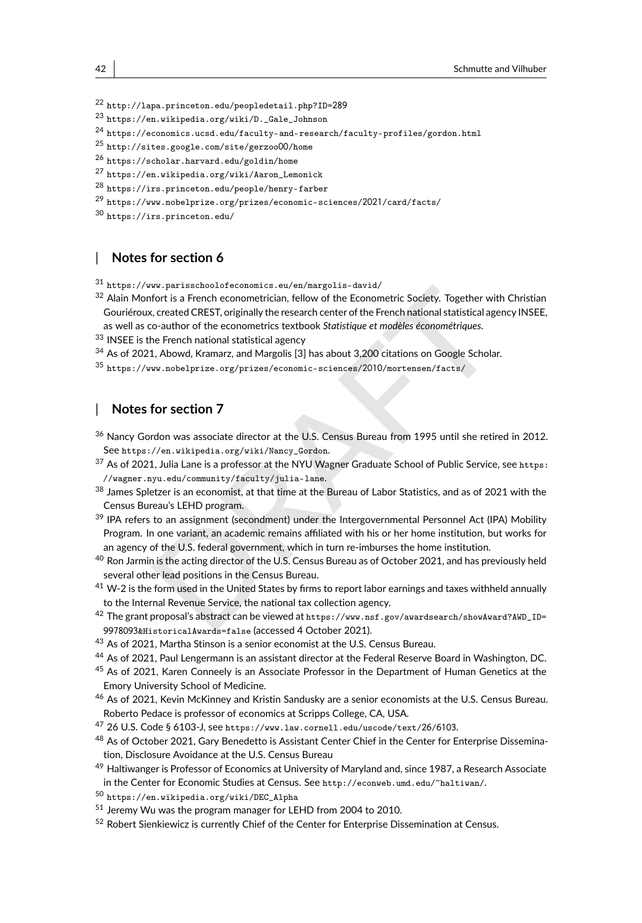<span id="page-41-0"></span><sup>22</sup> [http://lapa.princeton.edu/peopledetail.php?ID=](http://lapa.princeton.edu/peopledetail.php?ID=289)289

- <span id="page-41-1"></span><sup>23</sup> [https://en.wikipedia.org/wiki/D.\\_Gale\\_Johnson](https://en.wikipedia.org/wiki/D._Gale_Johnson)
- <span id="page-41-2"></span><sup>24</sup> <https://economics.ucsd.edu/faculty-and-research/faculty-profiles/gordon.html>
- <span id="page-41-3"></span><sup>25</sup> [http://sites.google.com/site/gerzoo](http://sites.google.com/site/gerzoo00/home)00/home
- <span id="page-41-4"></span><sup>26</sup> <https://scholar.harvard.edu/goldin/home>
- <span id="page-41-5"></span><sup>27</sup> [https://en.wikipedia.org/wiki/Aaron\\_Lemonick](https://en.wikipedia.org/wiki/Aaron_Lemonick)
- <span id="page-41-6"></span><sup>28</sup> <https://irs.princeton.edu/people/henry-farber>
- <span id="page-41-7"></span> $^{29}$ [https://www.nobelprize.org/prizes/economic-sciences/](https://www.nobelprize.org/prizes/economic-sciences/2021/card/facts/)2021/card/facts/

<span id="page-41-8"></span><sup>30</sup> <https://irs.princeton.edu/>

#### | **Notes for section 6**

<span id="page-41-9"></span><sup>31</sup> <https://www.parisschoolofeconomics.eu/en/margolis-david/>

- <span id="page-41-10"></span><sup>32</sup> Alain Monfort is a French econometrician, fellow of the Econometric Society. Together with Christian Gouriéroux, created CREST, originally the research center of the French national statistical agency INSEE, as well as co-author of the econometrics textbook *Statistique et modèles économétriques* .
- <span id="page-41-11"></span>33 INSEE is the French national statistical agency
- <span id="page-41-12"></span><sup>34</sup> As of 2021, Abowd, Kramarz, and Margolis [3] has about 3,200 citations on Google Scholar.
- <span id="page-41-13"></span><sup>35</sup> https://www.nobelprize.org/prizes/economic-sciences/2010/mortensen/facts/

#### | **Notes for section 7**

- <span id="page-41-14"></span><sup>36</sup> Nancy Gordon was associate director at the U.S. Census Bureau from 1995 until she retired in 2012. See https://en.wikipedia.org/wiki/Nancy\_Gordon .
- <span id="page-41-15"></span><sup>37</sup> As of 2021, Julia Lane is a professor at the NYU Wagner Graduate School of Public Service, see [https:](https://wagner.nyu.edu/community/faculty/julia-lane) [//wagner.nyu.edu/community/faculty/julia-lane](https://wagner.nyu.edu/community/faculty/julia-lane) .
- <span id="page-41-17"></span><span id="page-41-16"></span><sup>38</sup> James Spletzer is an economist, at that time at the Bureau of Labor Statistics, and as of 2021 with the Census Bureau's LEHD program.
- W. par associate of the Exonometric Society. Together with Christia<br>
fort is a French econometrician, fellow of the Econometric Society. Together with Christia<br>
c, created CREST, originally the research center of the Frenc <sup>39</sup> IPA refers to an assignment (secondment) under the Intergovernmental Personnel Act (IPA) Mobility Program. In one variant, an academic remains affiliated with his or her home institution, but works for an agency of the U.S. federal government, which in turn re-imburses the home institution.
- <span id="page-41-18"></span>40 Ron Jarmin is the acting director of the U.S. Census Bureau as of October 2021, and has previously held several other lead positions in the Census Bureau.
- <span id="page-41-19"></span><sup>41</sup> W-2 is the form used in the United States by firms to report labor earnings and taxes withheld annually to the Internal Revenue Service, the national tax collection agency.
- <span id="page-41-20"></span><sup>42</sup> The grant proposal's abstract can be viewed at https://www.nsf.gov/awardsearch/showAward?AWD\_ID= 9978093[&HistoricalAwards=false](https://www.nsf.gov/awardsearch/showAward?AWD_ID=9978093&HistoricalAwards=false) (accessed 4 October 2021).
- <span id="page-41-21"></span><sup>43</sup> As of 2021, Martha Stinson is a senior economist at the U.S. Census Bureau.
- <span id="page-41-22"></span><sup>44</sup> As of 2021, Paul Lengermann is an assistant director at the Federal Reserve Board in Washington, DC.
- <span id="page-41-23"></span>45 As of 2021, Karen Conneely is an Associate Professor in the Department of Human Genetics at the Emory University School of Medicine.
- <span id="page-41-24"></span><sup>46</sup> As of 2021, Kevin McKinney and Kristin Sandusky are a senior economists at the U.S. Census Bureau. Roberto Pedace is professor of economics at Scripps College, CA, USA.
- <span id="page-41-25"></span> $^{47}$  26 U.S. Code § 6103-J, see [https://www.law.cornell.edu/uscode/text/](https://www.law.cornell.edu/uscode/text/26/6103)26/6103.
- <span id="page-41-26"></span><sup>48</sup> As of October 2021, Gary Benedetto is Assistant Center Chief in the Center for Enterprise Dissemination, Disclosure Avoidance at the U.S. Census Bureau
- <span id="page-41-27"></span>49 Haltiwanger is Professor of Economics at University of Maryland and, since 1987, a Research Associate in the Center for Economic Studies at Census. See <http://econweb.umd.edu/~haltiwan/> .
- <span id="page-41-28"></span><sup>50</sup> [https://en.wikipedia.org/wiki/DEC\\_Alpha](https://en.wikipedia.org/wiki/DEC_Alpha)
- <span id="page-41-29"></span><sup>51</sup> Jeremy Wu was the program manager for LEHD from 2004 to 2010.
- <span id="page-41-30"></span>52 Robert Sienkiewicz is currently Chief of the Center for Enterprise Dissemination at Census.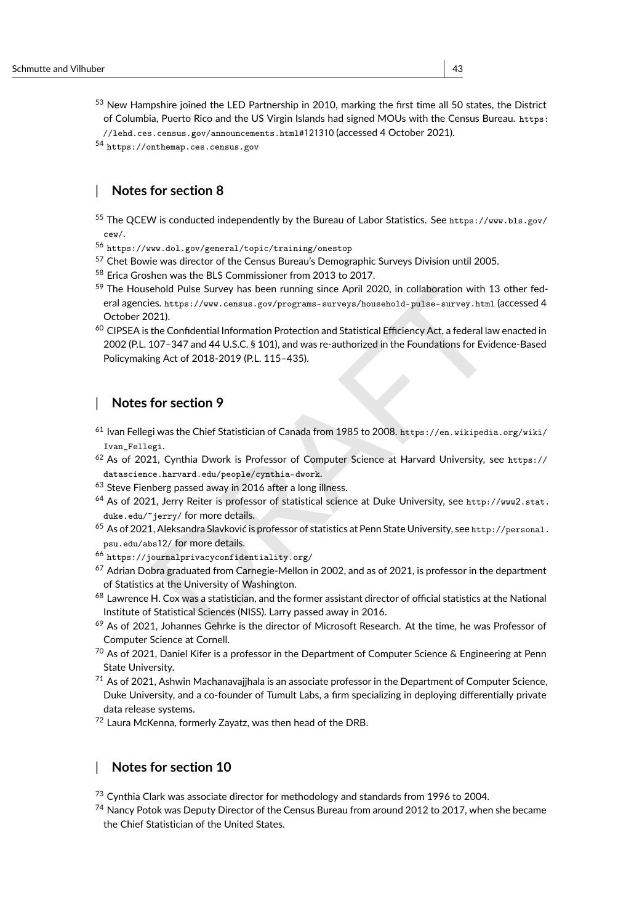- <span id="page-42-0"></span><sup>53</sup> New Hampshire joined the LED Partnership in 2010, marking the first time all 50 states, the District of Columbia, Puerto Rico and the US Virgin Islands had signed MOUs with the Census Bureau. [https:](https://lehd.ces.census.gov/announcements.html#121310) [//lehd.ces.census.gov/announcements.html#](https://lehd.ces.census.gov/announcements.html#121310)121310 (accessed 4 October 2021).
- 

```
54 https://onthemap.ces.census.gov
```
### | **Notes for section 8**

- <span id="page-42-2"></span><sup>55</sup> The QCEW is conducted independently by the Bureau of Labor Statistics. See [https://www.bls.gov/](https://www.bls.gov/cew/) [cew/](https://www.bls.gov/cew/) .
- <span id="page-42-3"></span><sup>56</sup> <https://www.dol.gov/general/topic/training/onestop>
- <span id="page-42-4"></span><sup>57</sup> Chet Bowie was director of the Census Bureau's Demographic Surveys Division until 2005.
- <span id="page-42-5"></span><sup>58</sup> Erica Groshen was the BLS Commissioner from 2013 to 2017.
- <span id="page-42-6"></span><sup>59</sup> The Household Pulse Survey has been running since April 2020, in collaboration with 13 other federal agencies. https://www.census.gov/programs-surveys/household-pulse-survey.html (accessed 4 October 2021).
- <span id="page-42-7"></span>ehold Pulse Survey has been running since [A](https://datascience.harvard.edu/people/cynthia-dwork)pril 2020, in collaboration with 13 other fees.<br>
https://www.census.gov/programs-surveys/household-pulse-survey.html (accessed<br>
2021).<br>
2021).<br>
the Confidential Information Protec <sup>60</sup> CIPSEA is the Confidential Information Protection and Statistical Efficiency Act, a federal law enacted in 2002 (P.L. 107–347 and 44 U.S.C. § 101), and was re-authorized in the Foundations for Evidence-Based Policymaking Act of 2018-2019 (P.L. 115–435).

#### | **Notes for section 9**

- <span id="page-42-8"></span><sup>61</sup> Ivan Fellegi was the Chief Statistician of Canada from 1985 to 2008. https://en.wikipedia.org/wiki/ [Ivan\\_Fellegi](https://en.wikipedia.org/wiki/Ivan_Fellegi) .
- <span id="page-42-9"></span><sup>62</sup> As of 2021, Cynthia Dwork is Professor of Computer Science at Harvard University, see [https://](https://datascience.harvard.edu/people/cynthia-dwork) datascience.harvard.edu/people/cynthia-dwork .
- <span id="page-42-10"></span><sup>63</sup> Steve Fienberg passed away in 2016 after a long illness.
- <span id="page-42-11"></span><sup>64</sup> As of 2021, Jerry Reiter is professor of statistical science at Duke University, see http://www2.stat. [duke.edu/~jerry/](http://www2.stat.duke.edu/~jerry/) for more details.
- <span id="page-42-12"></span><sup>65</sup> As of 2021, Aleksandra Slavković is professor of statistics at Penn State University, see [http://personal.](http://personal.psu.edu/abs12/) [psu.edu/abs](http://personal.psu.edu/abs12/)12 / for more details.
- <span id="page-42-13"></span><sup>66</sup> https://journalprivacyconfidentiality.org/
- <span id="page-42-14"></span> $67$  Adrian Dobra graduated from Carnegie-Mellon in 2002, and as of 2021, is professor in the department of Statistics at the University of Washington.
- <span id="page-42-15"></span><sup>68</sup> Lawrence H. Cox was a statistician, and the former assistant director of official statistics at the National Institute of Statistical Sciences (NISS). Larry passed away in 2016.
- <span id="page-42-16"></span><sup>69</sup> As of 2021, Johannes Gehrke is the director of Microsoft Research. At the time, he was Professor of Computer Science at Cornell.
- <span id="page-42-17"></span> $70$  As of 2021, Daniel Kifer is a professor in the Department of Computer Science & Engineering at Penn State University.
- <span id="page-42-18"></span> $71$  As of 2021, Ashwin Machanavajjhala is an associate professor in the Department of Computer Science, Duke University, and a co-founder of Tumult Labs, a firm specializing in deploying differentially private data release systems.
- <span id="page-42-19"></span><sup>72</sup> Laura McKenna, formerly Zayatz, was then head of the DRB.

#### | **Notes for section 10**

<span id="page-42-20"></span><sup>73</sup> Cynthia Clark was associate director for methodology and standards from 1996 to 2004.

<span id="page-42-21"></span><sup>74</sup> Nancy Potok was Deputy Director of the Census Bureau from around 2012 to 2017, when she became the Chief Statistician of the United States.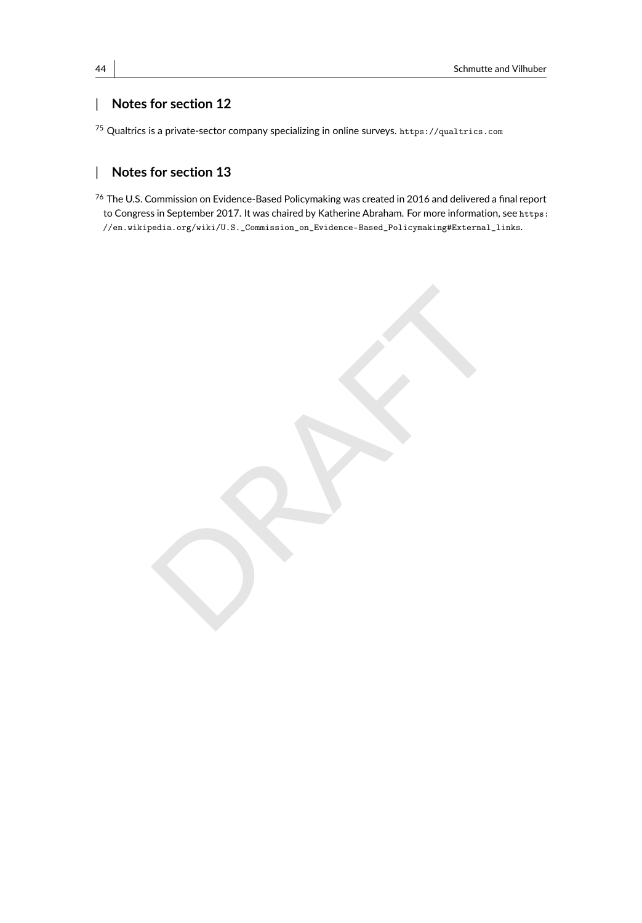### | **Notes for section 12**

<span id="page-43-0"></span><sup>75</sup> Qualtrics is a private-sector company specializing in online surveys. <https://qualtrics.com>

### | **Notes for section 13**

<span id="page-43-1"></span><sup>76</sup> The U.S. Commission on Evidence-Based Policymaking was created in 2016 and delivered a final report to Congress in September 2017. It was chaired by Katherine Abraham. For more information, see [https:](https://en.wikipedia.org/wiki/U.S._Commission_on_Evidence-Based_Policymaking##External_links) [//en.wikipedia.org/wiki/U.S.\\_Commission\\_on\\_Evidence-Based\\_Policymaking#External\\_links](https://en.wikipedia.org/wiki/U.S._Commission_on_Evidence-Based_Policymaking##External_links).

PRAFTER OF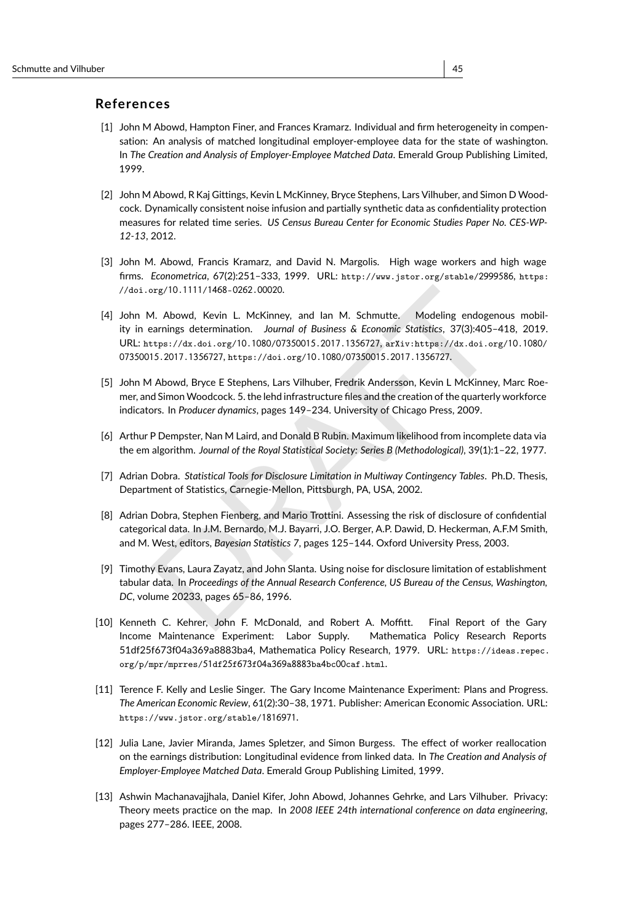#### **References**

- <span id="page-44-5"></span>[1] John M Abowd, Hampton Finer, and Frances Kramarz. Individual and firm heterogeneity in compensation: An analysis of matched longitudinal employer-employee data for the state of washington. In *The Creation and Analysis of Employer-Employee Matched Data*. Emerald Group Publishing Limited, 1999.
- <span id="page-44-7"></span>[2] John M Abowd, R Kaj Gittings, Kevin L McKinney, Bryce Stephens, Lars Vilhuber, and Simon D Woodcock. Dynamically consistent noise infusion and partially synthetic data as confidentiality protection measures for related time series. *US Census Bureau Center for Economic Studies Paper No. CES-WP-12-13*, 2012.
- <span id="page-44-3"></span>[3] John M. Abowd, Francis Kramarz, and David N. Margolis. High wage workers and high wage firms. *Econometrica*, 67(2):251–333, 1999. URL: [http://www.jstor.org/stable/](http://www.jstor.org/stable/2999586)2999586 , [https:](https://doi.org/10.1111/1468-0262.00020) //doi.org/10 .1111 /1468 -0262 .00020 .
- <span id="page-44-4"></span>braz<sup>710</sup>.1111/1468-0262.00020.<br>
A. Abowd, Kevin L. McKinney, and lan M. Schmutte. Modeling endogenous mob<br>
armings determination. Journal of Business & Economic Statistics, 37(3):405–418, 201<br>
15.2017.1356727, https://doi [4] John M. Abowd, Kevin L. McKinney, and Ian M. Schmutte. Modeling endogenous mobility in earnings determination. *Journal of Business & Economic Statistics*, 37(3):405–418, 2019. URL: https://dx.doi.org/10 .1080 /07350015 .2017 .1356727 , arXiv:https://dx.doi.org/10 .1080 / 07350015 .2017 .1356727 , https://doi.org/10 .1080 /07350015 .2017 .1356727 .
- <span id="page-44-9"></span>[5] John M Abowd, Bryce E Stephens, Lars Vilhuber, Fredrik Andersson, Kevin L McKinney, Marc Roemer, and Simon Woodcock. 5. the lehd infrastructure files and the creation of the quarterly workforce indicators. In *Producer dynamics*, pages 149–234. University of Chicago Press, 2009.
- <span id="page-44-2"></span>[6] Arthur P Dempster, Nan M Laird, and Donald B Rubin. Maximum likelihood from incomplete data via the em algorithm. *Journal of the Royal Statistical Society: Series B (Methodological)*, 39(1):1–22, 1977.
- <span id="page-44-11"></span>[7] Adrian Dobra. *Statistical Tools for Disclosure Limitation in Multiway Contingency Tables*. Ph.D. Thesis, Department of Statistics, Carnegie-Mellon, Pittsburgh, PA, USA, 2002.
- <span id="page-44-12"></span>[8] Adrian Dobra, Stephen Fienberg, and Mario Trottini. Assessing the risk of disclosure of confidential categorical data. In J.M. Bernardo, M.J. Bayarri, J.O. Berger, A.P. Dawid, D. Heckerman, A.F.M Smith, and M. West, editors, *Bayesian Statistics 7*, pages 125–144. Oxford University Press, 2003.
- <span id="page-44-8"></span>[9] Timothy Evans, Laura Zayatz, and John Slanta. Using noise for disclosure limitation of establishment tabular data. In *Proceedings of the Annual Research Conference, US Bureau of the Census, Washington, DC*, volume 20233, pages 65–86, 1996.
- <span id="page-44-1"></span>[10] Kenneth C. Kehrer, John F. McDonald, and Robert A. Moffitt. Final Report of the Gary Income Maintenance Experiment: Labor Supply. Mathematica Policy Research Reports 51df25f673f04a369a8883ba4, Mathematica Policy Research, 1979. URL: [https://ideas.repec.](https://ideas.repec.org/p/mpr/mprres/51df25f673f04a369a8883ba4bc00caf.html) [org/p/mpr/mprres/](https://ideas.repec.org/p/mpr/mprres/51df25f673f04a369a8883ba4bc00caf.html)51df25 f673 f04 a369 a8883ba 4bc00caf.html .
- <span id="page-44-0"></span>[11] Terence F. Kelly and Leslie Singer. The Gary Income Maintenance Experiment: Plans and Progress. *The American Economic Review*, 61(2):30–38, 1971. Publisher: American Economic Association. URL: [https://www.jstor.org/stable/](https://www.jstor.org/stable/1816971)1816971 .
- <span id="page-44-6"></span>[12] Julia Lane, Javier Miranda, James Spletzer, and Simon Burgess. The effect of worker reallocation on the earnings distribution: Longitudinal evidence from linked data. In *The Creation and Analysis of Employer-Employee Matched Data*. Emerald Group Publishing Limited, 1999.
- <span id="page-44-10"></span>[13] Ashwin Machanavajjhala, Daniel Kifer, John Abowd, Johannes Gehrke, and Lars Vilhuber. Privacy: Theory meets practice on the map. In *2008 IEEE 24th international conference on data engineering* , pages 277–286. IEEE, 2008.